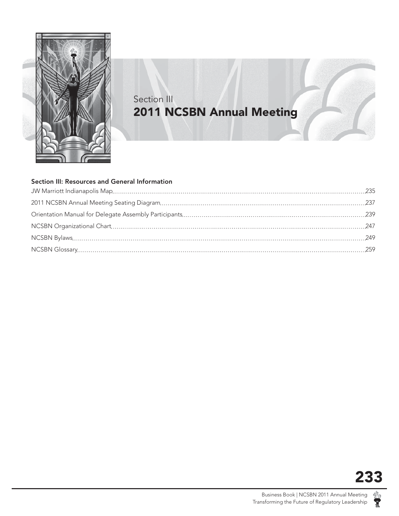

# Section III **2011 NCSBN Annual Meeting**

### **Section III: Resources and General Information**



Ţ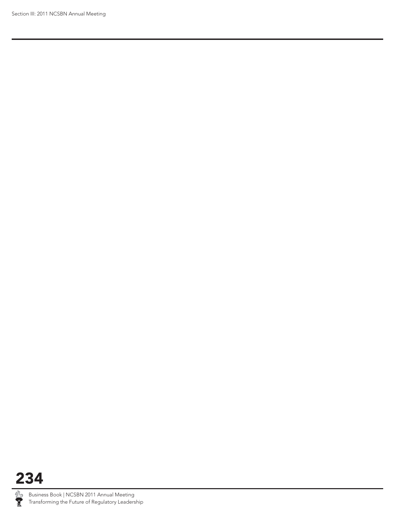$\mathbf{R}$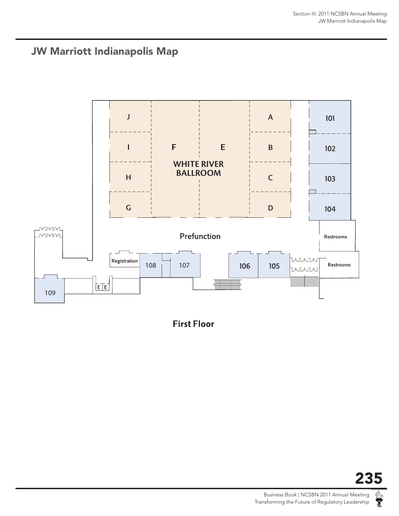# <span id="page-2-0"></span>**JW Marriott Indianapolis Map**



**First Floor** 



 $\overline{\mathbf{R}}$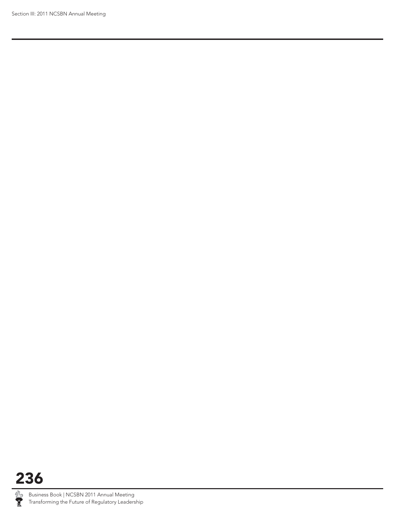$\mathbf{R}$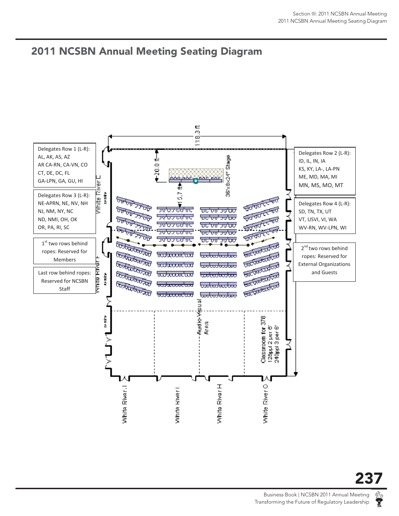<span id="page-4-0"></span>

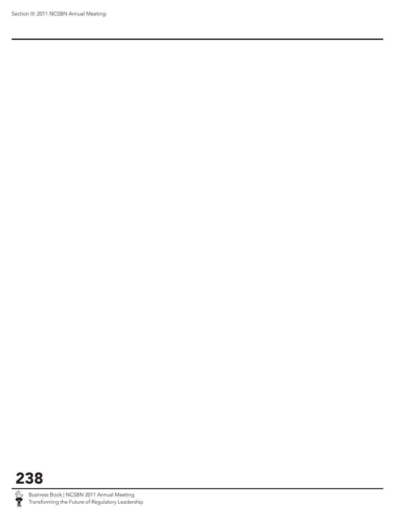$\mathbf{R}$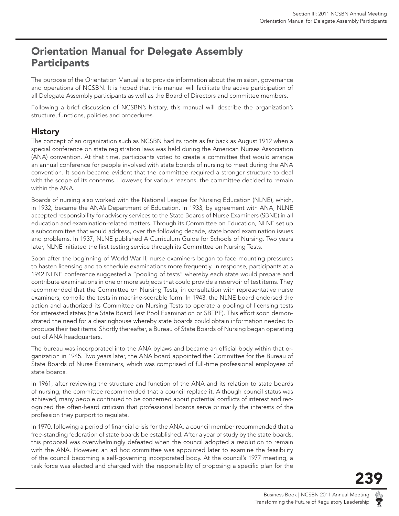# <span id="page-6-0"></span>**Orientation Manual for Delegate Assembly Participants**

The purpose of the Orientation Manual is to provide information about the mission, governance and operations of NCSBN. It is hoped that this manual will facilitate the active participation of all Delegate Assembly participants as well as the Board of Directors and committee members.

Following a brief discussion of NCSBN's history, this manual will describe the organization's structure, functions, policies and procedures.

### **History**

The concept of an organization such as NCSBN had its roots as far back as August 1912 when a special conference on state registration laws was held during the American Nurses Association (ANA) convention. At that time, participants voted to create a committee that would arrange an annual conference for people involved with state boards of nursing to meet during the ANA convention. It soon became evident that the committee required a stronger structure to deal with the scope of its concerns. However, for various reasons, the committee decided to remain within the ANA.

Boards of nursing also worked with the National League for Nursing Education (NLNE), which, in 1932, became the ANA's Department of Education. In 1933, by agreement with ANA, NLNE accepted responsibility for advisory services to the State Boards of Nurse Examiners (SBNE) in all education and examination-related matters. Through its Committee on Education, NLNE set up a subcommittee that would address, over the following decade, state board examination issues and problems. In 1937, NLNE published A Curriculum Guide for Schools of Nursing. Two years later, NLNE initiated the first testing service through its Committee on Nursing Tests.

Soon after the beginning of World War II, nurse examiners began to face mounting pressures to hasten licensing and to schedule examinations more frequently. In response, participants at a 1942 NLNE conference suggested a "pooling of tests" whereby each state would prepare and contribute examinations in one or more subjects that could provide a reservoir of test items. They recommended that the Committee on Nursing Tests, in consultation with representative nurse examiners, compile the tests in machine-scorable form. In 1943, the NLNE board endorsed the action and authorized its Committee on Nursing Tests to operate a pooling of licensing tests for interested states (the State Board Test Pool Examination or SBTPE). This effort soon demonstrated the need for a clearinghouse whereby state boards could obtain information needed to produce their test items. Shortly thereafter, a Bureau of State Boards of Nursing began operating out of ANA headquarters.

The bureau was incorporated into the ANA bylaws and became an official body within that organization in 1945. Two years later, the ANA board appointed the Committee for the Bureau of State Boards of Nurse Examiners, which was comprised of full-time professional employees of state boards.

In 1961, after reviewing the structure and function of the ANA and its relation to state boards of nursing, the committee recommended that a council replace it. Although council status was achieved, many people continued to be concerned about potential conflicts of interest and recognized the often-heard criticism that professional boards serve primarily the interests of the profession they purport to regulate.

In 1970, following a period of financial crisis for the ANA, a council member recommended that a free-standing federation of state boards be established. After a year of study by the state boards, this proposal was overwhelmingly defeated when the council adopted a resolution to remain with the ANA. However, an ad hoc committee was appointed later to examine the feasibility of the council becoming a self-governing incorporated body. At the council's 1977 meeting, a task force was elected and charged with the responsibility of proposing a specific plan for the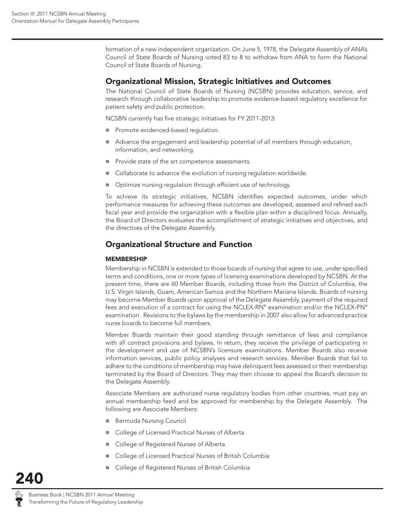formation of a new independent organization. On June 5, 1978, the Delegate Assembly of ANA's Council of State Boards of Nursing voted 83 to 8 to withdraw from ANA to form the National Council of State Boards of Nursing.

### **Organizational Mission, Strategic Initiatives and Outcomes**

The National Council of State Boards of Nursing (NCSBN) provides education, service, and research through collaborative leadership to promote evidence-based regulatory excellence for patient safety and public protection.

NCSBN currently has five strategic initiatives for FY 2011-2013:

- Promote evidenced-based regulation.
- Advance the engagement and leadership potential of all members through education, information, and networking.
- Provide state of the art competence assessments.
- Collaborate to advance the evolution of nursing regulation worldwide.
- Optimize nursing regulation through efficient use of technology.

To achieve its strategic initiatives, NCSBN identifies expected outcomes, under which performance measures for achieving these outcomes are developed, assessed and refined each fiscal year and provide the organization with a flexible plan within a disciplined focus. Annually, the Board of Directors evaluates the accomplishment of strategic initiatives and objectives, and the directives of the Delegate Assembly.

### **Organizational Structure and Function**

### **MEMBERSHIP**

Membership in NCSBN is extended to those boards of nursing that agree to use, under specified terms and conditions, one or more types of licensing examinations developed by NCSBN. At the present time, there are 60 Member Boards, including those from the District of Columbia, the U.S. Virgin Islands, Guam, American Samoa and the Northern Mariana Islands. Boards of nursing may become Member Boards upon approval of the Delegate Assembly, payment of the required fees and execution of a contract for using the NCLEX-RN® examination and/or the NCLEX-PN® examination. Revisions to the bylaws by the membership in 2007 also allow for advanced practice nurse boards to become full members.

Member Boards maintain their good standing through remittance of fees and compliance with all contract provisions and bylaws. In return, they receive the privilege of participating in the development and use of NCSBN's licensure examinations. Member Boards also receive information services, public policy analyses and research services. Member Boards that fail to adhere to the conditions of membership may have delinquent fees assessed or their membership terminated by the Board of Directors. They may then choose to appeal the Board's decision to the Delegate Assembly.

Associate Members are authorized nurse regulatory bodies from other countries, must pay an annual membership feed and be approved for membership by the Delegate Assembly. The following are Associate Members:

- Bermuda Nursing Council
- College of Licensed Practical Nurses of Alberta
- College of Registered Nurses of Alberta
- College of Licensed Practical Nurses of British Columbia
- College of Registered Nurses of British Columbia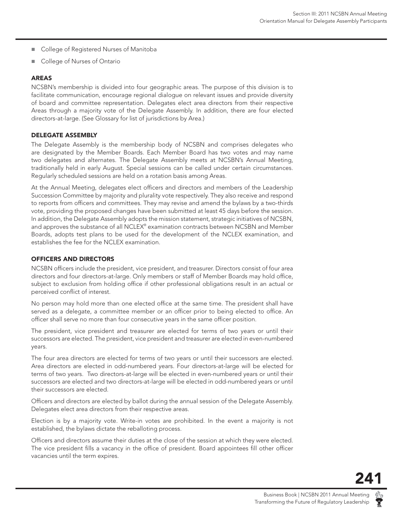- College of Registered Nurses of Manitoba
- College of Nurses of Ontario

### **AREAS**

NCSBN's membership is divided into four geographic areas. The purpose of this division is to facilitate communication, encourage regional dialogue on relevant issues and provide diversity of board and committee representation. Delegates elect area directors from their respective Areas through a majority vote of the Delegate Assembly. In addition, there are four elected directors-at-large. (See Glossary for list of jurisdictions by Area.)

### **DELEGATE ASSEMBLY**

The Delegate Assembly is the membership body of NCSBN and comprises delegates who are designated by the Member Boards. Each Member Board has two votes and may name two delegates and alternates. The Delegate Assembly meets at NCSBN's Annual Meeting, traditionally held in early August. Special sessions can be called under certain circumstances. Regularly scheduled sessions are held on a rotation basis among Areas.

At the Annual Meeting, delegates elect officers and directors and members of the Leadership Succession Committee by majority and plurality vote respectively. They also receive and respond to reports from officers and committees. They may revise and amend the bylaws by a two-thirds vote, providing the proposed changes have been submitted at least 45 days before the session. In addition, the Delegate Assembly adopts the mission statement, strategic initiatives of NCSBN, and approves the substance of all NCLEX® examination contracts between NCSBN and Member Boards, adopts test plans to be used for the development of the NCLEX examination, and establishes the fee for the NCLEX examination.

### **OFFICERS AND DIRECTORS**

NCSBN officers include the president, vice president, and treasurer. Directors consist of four area directors and four directors-at-large. Only members or staff of Member Boards may hold office, subject to exclusion from holding office if other professional obligations result in an actual or perceived conflict of interest.

No person may hold more than one elected office at the same time. The president shall have served as a delegate, a committee member or an officer prior to being elected to office. An officer shall serve no more than four consecutive years in the same officer position.

The president, vice president and treasurer are elected for terms of two years or until their successors are elected. The president, vice president and treasurer are elected in even-numbered years.

The four area directors are elected for terms of two years or until their successors are elected. Area directors are elected in odd-numbered years. Four directors-at-large will be elected for terms of two years. Two directors-at-large will be elected in even-numbered years or until their successors are elected and two directors-at-large will be elected in odd-numbered years or until their successors are elected.

Officers and directors are elected by ballot during the annual session of the Delegate Assembly. Delegates elect area directors from their respective areas.

Election is by a majority vote. Write-in votes are prohibited. In the event a majority is not established, the bylaws dictate the reballoting process.

Officers and directors assume their duties at the close of the session at which they were elected. The vice president fills a vacancy in the office of president. Board appointees fill other officer vacancies until the term expires.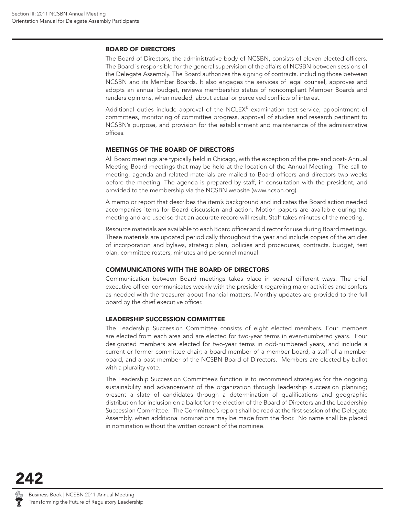### **BOARD OF DIRECTORS**

The Board of Directors, the administrative body of NCSBN, consists of eleven elected officers. The Board is responsible for the general supervision of the affairs of NCSBN between sessions of the Delegate Assembly. The Board authorizes the signing of contracts, including those between NCSBN and its Member Boards. It also engages the services of legal counsel, approves and adopts an annual budget, reviews membership status of noncompliant Member Boards and renders opinions, when needed, about actual or perceived conflicts of interest.

Additional duties include approval of the NCLEX® examination test service, appointment of committees, monitoring of committee progress, approval of studies and research pertinent to NCSBN's purpose, and provision for the establishment and maintenance of the administrative offices.

### **MEETINGS OF THE BOARD OF DIRECTORS**

All Board meetings are typically held in Chicago, with the exception of the pre- and post- Annual Meeting Board meetings that may be held at the location of the Annual Meeting. The call to meeting, agenda and related materials are mailed to Board officers and directors two weeks before the meeting. The agenda is prepared by staff, in consultation with the president, and provided to the membership via the NCSBN website (www.ncsbn.org).

A memo or report that describes the item's background and indicates the Board action needed accompanies items for Board discussion and action. Motion papers are available during the meeting and are used so that an accurate record will result. Staff takes minutes of the meeting.

Resource materials are available to each Board officer and director for use during Board meetings. These materials are updated periodically throughout the year and include copies of the articles of incorporation and bylaws, strategic plan, policies and procedures, contracts, budget, test plan, committee rosters, minutes and personnel manual.

### **COMMUNICATIONS WITH THE BOARD OF DIRECTORS**

Communication between Board meetings takes place in several different ways. The chief executive officer communicates weekly with the president regarding major activities and confers as needed with the treasurer about financial matters. Monthly updates are provided to the full board by the chief executive officer.

### **LEADERSHIP SUCCESSION COMMITTEE**

The Leadership Succession Committee consists of eight elected members. Four members are elected from each area and are elected for two-year terms in even-numbered years. Four designated members are elected for two-year terms in odd-numbered years, and include a current or former committee chair; a board member of a member board, a staff of a member board, and a past member of the NCSBN Board of Directors. Members are elected by ballot with a plurality vote.

The Leadership Succession Committee's function is to recommend strategies for the ongoing sustainability and advancement of the organization through leadership succession planning; present a slate of candidates through a determination of qualifications and geographic distribution for inclusion on a ballot for the election of the Board of Directors and the Leadership Succession Committee. The Committee's report shall be read at the first session of the Delegate Assembly, when additional nominations may be made from the floor. No name shall be placed in nomination without the written consent of the nominee.

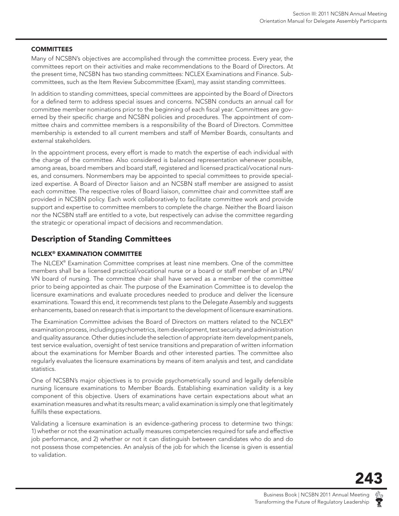### **COMMITTEES**

Many of NCSBN's objectives are accomplished through the committee process. Every year, the committees report on their activities and make recommendations to the Board of Directors. At the present time, NCSBN has two standing committees: NCLEX Examinations and Finance. Subcommittees, such as the Item Review Subcommittee (Exam), may assist standing committees.

In addition to standing committees, special committees are appointed by the Board of Directors for a defined term to address special issues and concerns. NCSBN conducts an annual call for committee member nominations prior to the beginning of each fiscal year. Committees are governed by their specific charge and NCSBN policies and procedures. The appointment of committee chairs and committee members is a responsibility of the Board of Directors. Committee membership is extended to all current members and staff of Member Boards, consultants and external stakeholders.

In the appointment process, every effort is made to match the expertise of each individual with the charge of the committee. Also considered is balanced representation whenever possible, among areas, board members and board staff, registered and licensed practical/vocational nurses, and consumers. Nonmembers may be appointed to special committees to provide specialized expertise. A Board of Director liaison and an NCSBN staff member are assigned to assist each committee. The respective roles of Board liaison, committee chair and committee staff are provided in NCSBN policy. Each work collaboratively to facilitate committee work and provide support and expertise to committee members to complete the charge. Neither the Board liaison nor the NCSBN staff are entitled to a vote, but respectively can advise the committee regarding the strategic or operational impact of decisions and recommendation.

### **Description of Standing Committees**

### **NCLEX® EXAMINATION COMMITTEE**

The NLCEX® Examination Committee comprises at least nine members. One of the committee members shall be a licensed practical/vocational nurse or a board or staff member of an LPN/ VN board of nursing. The committee chair shall have served as a member of the committee prior to being appointed as chair. The purpose of the Examination Committee is to develop the licensure examinations and evaluate procedures needed to produce and deliver the licensure examinations. Toward this end, it recommends test plans to the Delegate Assembly and suggests enhancements, based on research that is important to the development of licensure examinations.

The Examination Committee advises the Board of Directors on matters related to the NCLEX® examination process, including psychometrics, item development, test security and administration and quality assurance. Other duties include the selection of appropriate item development panels, test service evaluation, oversight of test service transitions and preparation of written information about the examinations for Member Boards and other interested parties. The committee also regularly evaluates the licensure examinations by means of item analysis and test, and candidate statistics.

One of NCSBN's major objectives is to provide psychometrically sound and legally defensible nursing licensure examinations to Member Boards. Establishing examination validity is a key component of this objective. Users of examinations have certain expectations about what an examination measures and what its results mean; a valid examination is simply one that legitimately fulfills these expectations.

Validating a licensure examination is an evidence-gathering process to determine two things: 1) whether or not the examination actually measures competencies required for safe and effective job performance, and 2) whether or not it can distinguish between candidates who do and do not possess those competencies. An analysis of the job for which the license is given is essential to validation.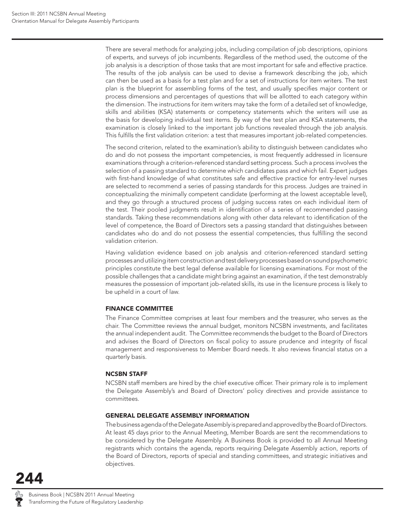There are several methods for analyzing jobs, including compilation of job descriptions, opinions of experts, and surveys of job incumbents. Regardless of the method used, the outcome of the job analysis is a description of those tasks that are most important for safe and effective practice. The results of the job analysis can be used to devise a framework describing the job, which can then be used as a basis for a test plan and for a set of instructions for item writers. The test plan is the blueprint for assembling forms of the test, and usually specifies major content or process dimensions and percentages of questions that will be allotted to each category within the dimension. The instructions for item writers may take the form of a detailed set of knowledge, skills and abilities (KSA) statements or competency statements which the writers will use as the basis for developing individual test items. By way of the test plan and KSA statements, the examination is closely linked to the important job functions revealed through the job analysis. This fulfills the first validation criterion: a test that measures important job-related competencies.

The second criterion, related to the examination's ability to distinguish between candidates who do and do not possess the important competencies, is most frequently addressed in licensure examinations through a criterion-referenced standard setting process. Such a process involves the selection of a passing standard to determine which candidates pass and which fail. Expert judges with first-hand knowledge of what constitutes safe and effective practice for entry-level nurses are selected to recommend a series of passing standards for this process. Judges are trained in conceptualizing the minimally competent candidate (performing at the lowest acceptable level), and they go through a structured process of judging success rates on each individual item of the test. Their pooled judgments result in identification of a series of recommended passing standards. Taking these recommendations along with other data relevant to identification of the level of competence, the Board of Directors sets a passing standard that distinguishes between candidates who do and do not possess the essential competencies, thus fulfilling the second validation criterion.

Having validation evidence based on job analysis and criterion-referenced standard setting processes and utilizing item construction and test delivery processes based on sound psychometric principles constitute the best legal defense available for licensing examinations. For most of the possible challenges that a candidate might bring against an examination, if the test demonstrably measures the possession of important job-related skills, its use in the licensure process is likely to be upheld in a court of law.

### **FINANCE COMMITTEE**

The Finance Committee comprises at least four members and the treasurer, who serves as the chair. The Committee reviews the annual budget, monitors NCSBN investments, and facilitates the annual independent audit. The Committee recommends the budget to the Board of Directors and advises the Board of Directors on fiscal policy to assure prudence and integrity of fiscal management and responsiveness to Member Board needs. It also reviews financial status on a quarterly basis.

### **NCSBN STAFF**

NCSBN staff members are hired by the chief executive officer. Their primary role is to implement the Delegate Assembly's and Board of Directors' policy directives and provide assistance to committees.

### **GENERAL DELEGATE ASSEMBLY INFORMATION**

The business agenda of the Delegate Assembly is prepared and approved by the Board of Directors. At least 45 days prior to the Annual Meeting, Member Boards are sent the recommendations to be considered by the Delegate Assembly. A Business Book is provided to all Annual Meeting registrants which contains the agenda, reports requiring Delegate Assembly action, reports of the Board of Directors, reports of special and standing committees, and strategic initiatives and objectives.

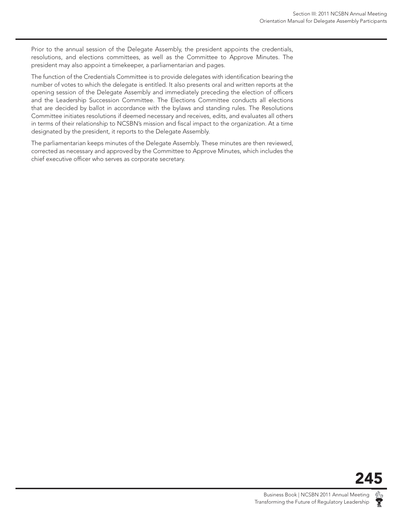Prior to the annual session of the Delegate Assembly, the president appoints the credentials, resolutions, and elections committees, as well as the Committee to Approve Minutes. The president may also appoint a timekeeper, a parliamentarian and pages.

The function of the Credentials Committee is to provide delegates with identification bearing the number of votes to which the delegate is entitled. It also presents oral and written reports at the opening session of the Delegate Assembly and immediately preceding the election of officers and the Leadership Succession Committee. The Elections Committee conducts all elections that are decided by ballot in accordance with the bylaws and standing rules. The Resolutions Committee initiates resolutions if deemed necessary and receives, edits, and evaluates all others in terms of their relationship to NCSBN's mission and fiscal impact to the organization. At a time designated by the president, it reports to the Delegate Assembly.

The parliamentarian keeps minutes of the Delegate Assembly. These minutes are then reviewed, corrected as necessary and approved by the Committee to Approve Minutes, which includes the chief executive officer who serves as corporate secretary.

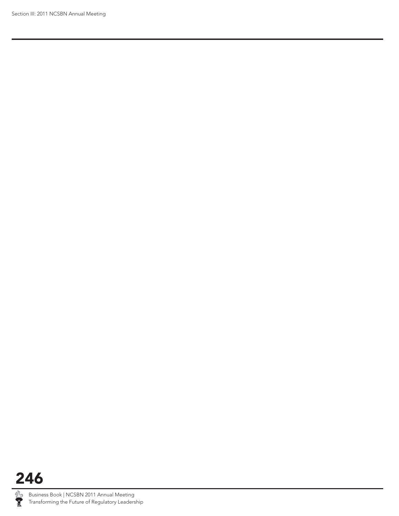$\mathbf{R}$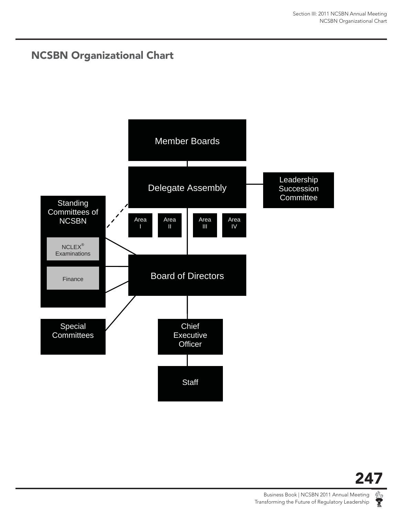# <span id="page-14-0"></span>**NCSBN Organizational Chart**





Ţ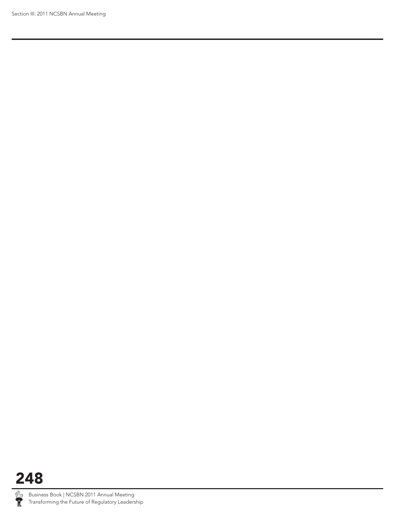$\mathbf{R}$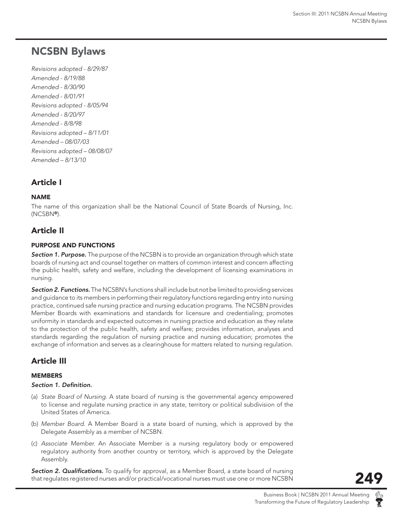## <span id="page-16-0"></span>**NCSBN Bylaws**

*Revisions adopted - 8/29/87 Amended - 8/19/88 Amended - 8/30/90 Amended - 8/01/91 Revisions adopted - 8/05/94 Amended - 8/20/97 Amended - 8/8/98 Revisions adopted – 8/11/01 Amended – 08/07/03 Revisions adopted – 08/08/07 Amended – 8/13/10*

### **Article I**

### **NAME**

The name of this organization shall be the National Council of State Boards of Nursing, Inc. (NCSBN**®**).

### **Article II**

### **PURPOSE AND FUNCTIONS**

*Section 1. Purpose.* The purpose of the NCSBN is to provide an organization through which state boards of nursing act and counsel together on matters of common interest and concern affecting the public health, safety and welfare, including the development of licensing examinations in nursing.

*Section 2. Functions.* The NCSBN's functions shall include but not be limited to providing services and guidance to its members in performing their regulatory functions regarding entry into nursing practice, continued safe nursing practice and nursing education programs. The NCSBN provides Member Boards with examinations and standards for licensure and credentialing; promotes uniformity in standards and expected outcomes in nursing practice and education as they relate to the protection of the public health, safety and welfare; provides information, analyses and standards regarding the regulation of nursing practice and nursing education; promotes the exchange of information and serves as a clearinghouse for matters related to nursing regulation.

### **Article III**

### **MEMBERS**

### **Section 1. Definition.**

- (a) *State Board of Nursing*. A state board of nursing is the governmental agency empowered to license and regulate nursing practice in any state, territory or political subdivision of the United States of America.
- (b) *Member Board*. A Member Board is a state board of nursing, which is approved by the Delegate Assembly as a member of NCSBN.
- (c) *Associate Member.* An Associate Member is a nursing regulatory body or empowered regulatory authority from another country or territory, which is approved by the Delegate Assembly.

**Section 2. Qualifications.** To qualify for approval, as a Member Board, a state board of nursing that regulates registered nurses and/or practical/vocational nurses must use one or more NCSBN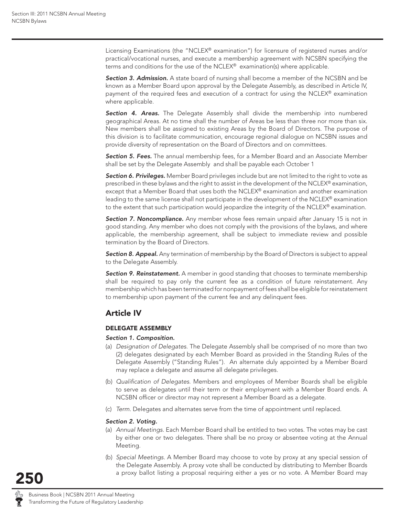Licensing Examinations (the "NCLEX® examination") for licensure of registered nurses and/or practical/vocational nurses, and execute a membership agreement with NCSBN specifying the terms and conditions for the use of the NCLEX® examination(s) where applicable.

**Section 3. Admission.** A state board of nursing shall become a member of the NCSBN and be known as a Member Board upon approval by the Delegate Assembly, as described in Article IV, payment of the required fees and execution of a contract for using the NCLEX® examination where applicable.

*Section 4. Areas.* The Delegate Assembly shall divide the membership into numbered geographical Areas. At no time shall the number of Areas be less than three nor more than six. New members shall be assigned to existing Areas by the Board of Directors. The purpose of this division is to facilitate communication, encourage regional dialogue on NCSBN issues and provide diversity of representation on the Board of Directors and on committees.

*Section 5. Fees.* The annual membership fees, for a Member Board and an Associate Member shall be set by the Delegate Assembly and shall be payable each October 1

*Section 6. Privileges.* Member Board privileges include but are not limited to the right to vote as prescribed in these bylaws and the right to assist in the development of the NCLEX® examination, except that a Member Board that uses both the NCLEX® examination and another examination leading to the same license shall not participate in the development of the NCLEX® examination to the extent that such participation would jeopardize the integrity of the NCLEX® examination.

*Section 7. Noncompliance.* Any member whose fees remain unpaid after January 15 is not in good standing. Any member who does not comply with the provisions of the bylaws, and where applicable, the membership agreement, shall be subject to immediate review and possible termination by the Board of Directors.

*Section 8. Appeal.* Any termination of membership by the Board of Directors is subject to appeal to the Delegate Assembly.

**Section 9. Reinstatement.** A member in good standing that chooses to terminate membership shall be required to pay only the current fee as a condition of future reinstatement. Any membership which has been terminated for nonpayment of fees shall be eligible for reinstatement to membership upon payment of the current fee and any delinquent fees.

### **Article IV**

### **DELEGATE ASSEMBLY**

### *Section 1. Composition.*

- (a) *Designation of Delegates.* The Delegate Assembly shall be comprised of no more than two (2) delegates designated by each Member Board as provided in the Standing Rules of the Delegate Assembly ("Standing Rules"). An alternate duly appointed by a Member Board may replace a delegate and assume all delegate privileges.
- (b) *Qualifi cation of Delegates*. Members and employees of Member Boards shall be eligible to serve as delegates until their term or their employment with a Member Board ends. A NCSBN officer or director may not represent a Member Board as a delegate.
- (c) *Term*. Delegates and alternates serve from the time of appointment until replaced.

### *Section 2. Voting.*

- (a) *Annual Meetings.* Each Member Board shall be entitled to two votes. The votes may be cast by either one or two delegates. There shall be no proxy or absentee voting at the Annual Meeting.
- (b) *Special Meetings.* A Member Board may choose to vote by proxy at any special session of the Delegate Assembly. A proxy vote shall be conducted by distributing to Member Boards a proxy ballot listing a proposal requiring either a yes or no vote. A Member Board may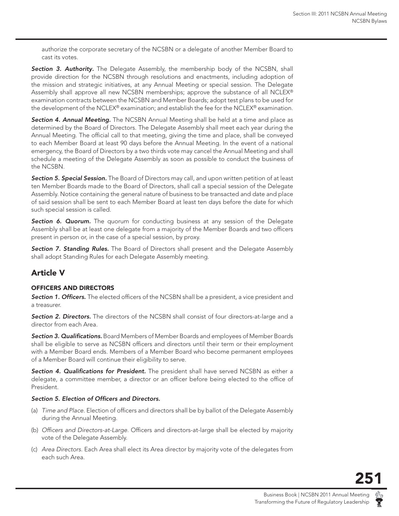authorize the corporate secretary of the NCSBN or a delegate of another Member Board to cast its votes.

*Section 3. Authority.* The Delegate Assembly, the membership body of the NCSBN, shall provide direction for the NCSBN through resolutions and enactments, including adoption of the mission and strategic initiatives, at any Annual Meeting or special session. The Delegate Assembly shall approve all new NCSBN memberships; approve the substance of all NCLEX® examination contracts between the NCSBN and Member Boards; adopt test plans to be used for the development of the NCLEX® examination; and establish the fee for the NCLEX® examination.

*Section 4. Annual Meeting.* The NCSBN Annual Meeting shall be held at a time and place as determined by the Board of Directors. The Delegate Assembly shall meet each year during the Annual Meeting. The official call to that meeting, giving the time and place, shall be conveyed to each Member Board at least 90 days before the Annual Meeting. In the event of a national emergency, the Board of Directors by a two thirds vote may cancel the Annual Meeting and shall schedule a meeting of the Delegate Assembly as soon as possible to conduct the business of the NCSBN.

*Section 5. Special Session.* The Board of Directors may call, and upon written petition of at least ten Member Boards made to the Board of Directors, shall call a special session of the Delegate Assembly. Notice containing the general nature of business to be transacted and date and place of said session shall be sent to each Member Board at least ten days before the date for which such special session is called.

**Section 6. Quorum.** The quorum for conducting business at any session of the Delegate Assembly shall be at least one delegate from a majority of the Member Boards and two officers present in person or, in the case of a special session, by proxy.

**Section 7. Standing Rules.** The Board of Directors shall present and the Delegate Assembly shall adopt Standing Rules for each Delegate Assembly meeting.

### **Article V**

### **OFFICERS AND DIRECTORS**

**Section 1. Officers.** The elected officers of the NCSBN shall be a president, a vice president and a treasurer.

**Section 2. Directors.** The directors of the NCSBN shall consist of four directors-at-large and a director from each Area.

**Section 3. Qualifications.** Board Members of Member Boards and employees of Member Boards shall be eligible to serve as NCSBN officers and directors until their term or their employment with a Member Board ends. Members of a Member Board who become permanent employees of a Member Board will continue their eligibility to serve.

**Section 4. Qualifications for President.** The president shall have served NCSBN as either a delegate, a committee member, a director or an officer before being elected to the office of President.

### **Section 5. Election of Officers and Directors.**

- (a) *Time and Place*. Election of officers and directors shall be by ballot of the Delegate Assembly during the Annual Meeting.
- (b) Officers and Directors-at-Large. Officers and directors-at-large shall be elected by majority vote of the Delegate Assembly.
- (c) *Area Directors*. Each Area shall elect its Area director by majority vote of the delegates from each such Area.

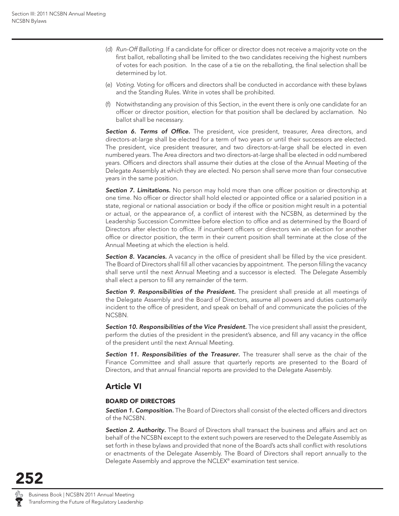- (d) Run-Off Balloting. If a candidate for officer or director does not receive a majority vote on the first ballot, reballoting shall be limited to the two candidates receiving the highest numbers of votes for each position. In the case of a tie on the reballoting, the final selection shall be determined by lot.
- (e) Voting. Voting for officers and directors shall be conducted in accordance with these bylaws and the Standing Rules. Write in votes shall be prohibited.
- (f) Notwithstanding any provision of this Section, in the event there is only one candidate for an officer or director position, election for that position shall be declared by acclamation. No ballot shall be necessary.

Section 6. Terms of Office. The president, vice president, treasurer, Area directors, and directors-at-large shall be elected for a term of two years or until their successors are elected. The president, vice president treasurer, and two directors-at-large shall be elected in even numbered years. The Area directors and two directors-at-large shall be elected in odd numbered years. Officers and directors shall assume their duties at the close of the Annual Meeting of the Delegate Assembly at which they are elected. No person shall serve more than four consecutive years in the same position.

**Section 7. Limitations.** No person may hold more than one officer position or directorship at one time. No officer or director shall hold elected or appointed office or a salaried position in a state, regional or national association or body if the office or position might result in a potential or actual, or the appearance of, a conflict of interest with the NCSBN, as determined by the Leadership Succession Committee before election to office and as determined by the Board of Directors after election to office. If incumbent officers or directors win an election for another office or director position, the term in their current position shall terminate at the close of the Annual Meeting at which the election is held.

**Section 8. Vacancies.** A vacancy in the office of president shall be filled by the vice president. The Board of Directors shall fill all other vacancies by appointment. The person filling the vacancy shall serve until the next Annual Meeting and a successor is elected. The Delegate Assembly shall elect a person to fill any remainder of the term.

*Section 9. Responsibilities of the President.* The president shall preside at all meetings of the Delegate Assembly and the Board of Directors, assume all powers and duties customarily incident to the office of president, and speak on behalf of and communicate the policies of the NCSBN.

Section 10. Responsibilities of the Vice President. The vice president shall assist the president, perform the duties of the president in the president's absence, and fill any vacancy in the office of the president until the next Annual Meeting.

**Section 11. Responsibilities of the Treasurer.** The treasurer shall serve as the chair of the Finance Committee and shall assure that quarterly reports are presented to the Board of Directors, and that annual financial reports are provided to the Delegate Assembly.

### **Article VI**

### **BOARD OF DIRECTORS**

**Section 1. Composition.** The Board of Directors shall consist of the elected officers and directors of the NCSBN.

**Section 2. Authority.** The Board of Directors shall transact the business and affairs and act on behalf of the NCSBN except to the extent such powers are reserved to the Delegate Assembly as set forth in these bylaws and provided that none of the Board's acts shall conflict with resolutions or enactments of the Delegate Assembly. The Board of Directors shall report annually to the Delegate Assembly and approve the NCLEX® examination test service.

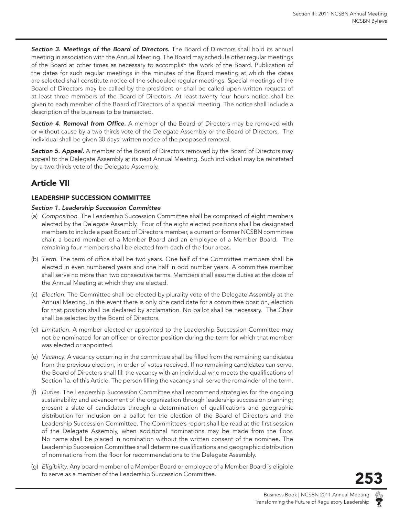*Section 3. Meetings of the Board of Directors.* The Board of Directors shall hold its annual meeting in association with the Annual Meeting. The Board may schedule other regular meetings of the Board at other times as necessary to accomplish the work of the Board. Publication of the dates for such regular meetings in the minutes of the Board meeting at which the dates are selected shall constitute notice of the scheduled regular meetings. Special meetings of the Board of Directors may be called by the president or shall be called upon written request of at least three members of the Board of Directors. At least twenty four hours notice shall be given to each member of the Board of Directors of a special meeting. The notice shall include a description of the business to be transacted.

**Section 4. Removal from Office.** A member of the Board of Directors may be removed with or without cause by a two thirds vote of the Delegate Assembly or the Board of Directors. The individual shall be given 30 days' written notice of the proposed removal.

*Section 5. Appeal.* A member of the Board of Directors removed by the Board of Directors may appeal to the Delegate Assembly at its next Annual Meeting. Such individual may be reinstated by a two thirds vote of the Delegate Assembly.

### **Article VII**

### **LEADERSHIP SUCCESSION COMMITTEE**

### *Section 1. Leadership Succession Committee*

- (a) *Composition.* The Leadership Succession Committee shall be comprised of eight members elected by the Delegate Assembly. Four of the eight elected positions shall be designated members to include a past Board of Directors member, a current or former NCSBN committee chair, a board member of a Member Board and an employee of a Member Board. The remaining four members shall be elected from each of the four areas.
- (b) *Term*. The term of office shall be two years. One half of the Committee members shall be elected in even numbered years and one half in odd number years. A committee member shall serve no more than two consecutive terms. Members shall assume duties at the close of the Annual Meeting at which they are elected.
- (c) *Election.* The Committee shall be elected by plurality vote of the Delegate Assembly at the Annual Meeting. In the event there is only one candidate for a committee position, election for that position shall be declared by acclamation. No ballot shall be necessary. The Chair shall be selected by the Board of Directors.
- (d) *Limitation.* A member elected or appointed to the Leadership Succession Committee may not be nominated for an officer or director position during the term for which that member was elected or appointed.
- (e) *Vacancy.* A vacancy occurring in the committee shall be fi lled from the remaining candidates from the previous election, in order of votes received. If no remaining candidates can serve, the Board of Directors shall fill the vacancy with an individual who meets the qualifications of Section 1a. of this Article. The person filling the vacancy shall serve the remainder of the term.
- (f) *Duties.* The Leadership Succession Committee shall recommend strategies for the ongoing sustainability and advancement of the organization through leadership succession planning; present a slate of candidates through a determination of qualifications and geographic distribution for inclusion on a ballot for the election of the Board of Directors and the Leadership Succession Committee. The Committee's report shall be read at the first session of the Delegate Assembly, when additional nominations may be made from the floor. No name shall be placed in nomination without the written consent of the nominee. The Leadership Succession Committee shall determine qualifications and geographic distribution of nominations from the floor for recommendations to the Delegate Assembly.
- (g) *Eligibility.* Any board member of a Member Board or employee of a Member Board is eligible to serve as a member of the Leadership Succession Committee.

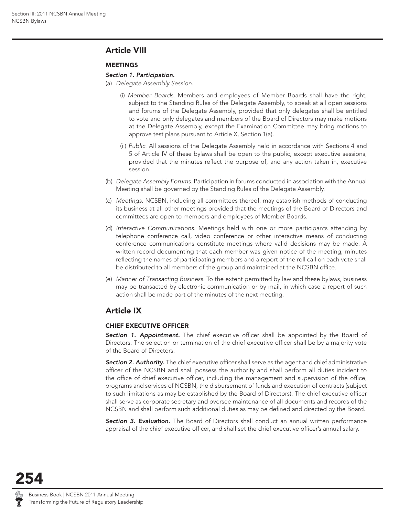### **Article VIII**

### **MEETINGS**

*Section 1. Participation.*

- (a) *Delegate Assembly Session.*
	- (i) *Member Boards.* Members and employees of Member Boards shall have the right, subject to the Standing Rules of the Delegate Assembly, to speak at all open sessions and forums of the Delegate Assembly, provided that only delegates shall be entitled to vote and only delegates and members of the Board of Directors may make motions at the Delegate Assembly, except the Examination Committee may bring motions to approve test plans pursuant to Article X, Section 1(a).
	- (ii) *Public.* All sessions of the Delegate Assembly held in accordance with Sections 4 and 5 of Article IV of these bylaws shall be open to the public, except executive sessions, provided that the minutes reflect the purpose of, and any action taken in, executive session.
- (b) *Delegate Assembly Forums.* Participation in forums conducted in association with the Annual Meeting shall be governed by the Standing Rules of the Delegate Assembly.
- (c) *Meetings.* NCSBN, including all committees thereof, may establish methods of conducting its business at all other meetings provided that the meetings of the Board of Directors and committees are open to members and employees of Member Boards.
- (d) *Interactive Communications.* Meetings held with one or more participants attending by telephone conference call, video conference or other interactive means of conducting conference communications constitute meetings where valid decisions may be made. A written record documenting that each member was given notice of the meeting, minutes reflecting the names of participating members and a report of the roll call on each vote shall be distributed to all members of the group and maintained at the NCSBN office.
- (e) *Manner of Transacting Business.* To the extent permitted by law and these bylaws, business may be transacted by electronic communication or by mail, in which case a report of such action shall be made part of the minutes of the next meeting.

### **Article IX**

### **CHIEF EXECUTIVE OFFICER**

**Section 1. Appointment.** The chief executive officer shall be appointed by the Board of Directors. The selection or termination of the chief executive officer shall be by a majority vote of the Board of Directors.

**Section 2. Authority.** The chief executive officer shall serve as the agent and chief administrative officer of the NCSBN and shall possess the authority and shall perform all duties incident to the office of chief executive officer, including the management and supervision of the office, programs and services of NCSBN, the disbursement of funds and execution of contracts (subject to such limitations as may be established by the Board of Directors). The chief executive officer shall serve as corporate secretary and oversee maintenance of all documents and records of the NCSBN and shall perform such additional duties as may be defined and directed by the Board.

**Section 3. Evaluation.** The Board of Directors shall conduct an annual written performance appraisal of the chief executive officer, and shall set the chief executive officer's annual salary.

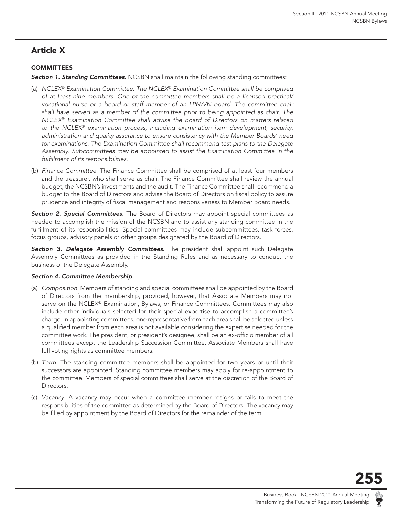### **Article X**

### **COMMITTEES**

*Section 1. Standing Committees.* NCSBN shall maintain the following standing committees:

- (a) *NCLEX*® *Examination Committee. The NCLEX*® *Examination Committee shall be comprised of at least nine members. One of the committee members shall be a licensed practical/ vocational nurse or a board or staff member of an LPN/VN board. The committee chair shall have served as a member of the committee prior to being appointed as chair. The NCLEX*® *Examination Committee shall advise the Board of Directors on matters related to the NCLEX*® *examination process, including examination item development, security, administration and quality assurance to ensure consistency with the Member Boards' need for examinations. The Examination Committee shall recommend test plans to the Delegate Assembly. Subcommittees may be appointed to assist the Examination Committee in the fulfi llment of its responsibilities.*
- (b) *Finance Committee.* The Finance Committee shall be comprised of at least four members and the treasurer, who shall serve as chair. The Finance Committee shall review the annual budget, the NCSBN's investments and the audit. The Finance Committee shall recommend a budget to the Board of Directors and advise the Board of Directors on fiscal policy to assure prudence and integrity of fiscal management and responsiveness to Member Board needs.

*Section 2. Special Committees.* The Board of Directors may appoint special committees as needed to accomplish the mission of the NCSBN and to assist any standing committee in the fulfillment of its responsibilities. Special committees may include subcommittees, task forces, focus groups, advisory panels or other groups designated by the Board of Directors.

*Section 3. Delegate Assembly Committees.* The president shall appoint such Delegate Assembly Committees as provided in the Standing Rules and as necessary to conduct the business of the Delegate Assembly.

### *Section 4. Committee Membership.*

- (a) *Composition.* Members of standing and special committees shall be appointed by the Board of Directors from the membership, provided, however, that Associate Members may not serve on the NCLEX® Examination, Bylaws, or Finance Committees. Committees may also include other individuals selected for their special expertise to accomplish a committee's charge. In appointing committees, one representative from each area shall be selected unless a qualified member from each area is not available considering the expertise needed for the committee work. The president, or president's designee, shall be an ex-officio member of all committees except the Leadership Succession Committee. Associate Members shall have full voting rights as committee members.
- (b) *Term.* The standing committee members shall be appointed for two years or until their successors are appointed. Standing committee members may apply for re-appointment to the committee. Members of special committees shall serve at the discretion of the Board of Directors.
- (c) *Vacancy.* A vacancy may occur when a committee member resigns or fails to meet the responsibilities of the committee as determined by the Board of Directors. The vacancy may be filled by appointment by the Board of Directors for the remainder of the term.

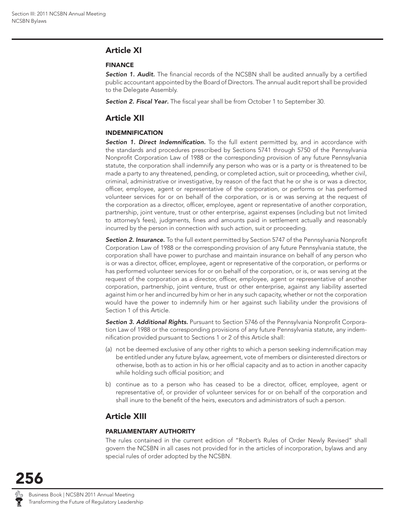### **Article XI**

### **FINANCE**

**Section 1. Audit.** The financial records of the NCSBN shall be audited annually by a certified public accountant appointed by the Board of Directors. The annual audit report shall be provided to the Delegate Assembly.

**Section 2. Fiscal Year.** The fiscal year shall be from October 1 to September 30.

### **Article XII**

### **INDEMNIFICATION**

**Section 1. Direct Indemnification.** To the full extent permitted by, and in accordance with the standards and procedures prescribed by Sections 5741 through 5750 of the Pennsylvania Nonprofit Corporation Law of 1988 or the corresponding provision of any future Pennsylvania statute, the corporation shall indemnify any person who was or is a party or is threatened to be made a party to any threatened, pending, or completed action, suit or proceeding, whether civil, criminal, administrative or investigative, by reason of the fact that he or she is or was a director, officer, employee, agent or representative of the corporation, or performs or has performed volunteer services for or on behalf of the corporation, or is or was serving at the request of the corporation as a director, officer, employee, agent or representative of another corporation, partnership, joint venture, trust or other enterprise, against expenses (including but not limited to attorney's fees), judgments, fines and amounts paid in settlement actually and reasonably incurred by the person in connection with such action, suit or proceeding.

**Section 2. Insurance.** To the full extent permitted by Section 5747 of the Pennsylvania Nonprofit Corporation Law of 1988 or the corresponding provision of any future Pennsylvania statute, the corporation shall have power to purchase and maintain insurance on behalf of any person who is or was a director, officer, employee, agent or representative of the corporation, or performs or has performed volunteer services for or on behalf of the corporation, or is, or was serving at the request of the corporation as a director, officer, employee, agent or representative of another corporation, partnership, joint venture, trust or other enterprise, against any liability asserted against him or her and incurred by him or her in any such capacity, whether or not the corporation would have the power to indemnify him or her against such liability under the provisions of Section 1 of this Article.

**Section 3. Additional Rights.** Pursuant to Section 5746 of the Pennsylvania Nonprofit Corporation Law of 1988 or the corresponding provisions of any future Pennsylvania statute, any indemnification provided pursuant to Sections 1 or 2 of this Article shall:

- (a) not be deemed exclusive of any other rights to which a person seeking indemnification may be entitled under any future bylaw, agreement, vote of members or disinterested directors or otherwise, both as to action in his or her official capacity and as to action in another capacity while holding such official position; and
- b) continue as to a person who has ceased to be a director, officer, employee, agent or representative of, or provider of volunteer services for or on behalf of the corporation and shall inure to the benefit of the heirs, executors and administrators of such a person.

### **Article XIII**

### **PARLIAMENTARY AUTHORITY**

The rules contained in the current edition of "Robert's Rules of Order Newly Revised" shall govern the NCSBN in all cases not provided for in the articles of incorporation, bylaws and any special rules of order adopted by the NCSBN.

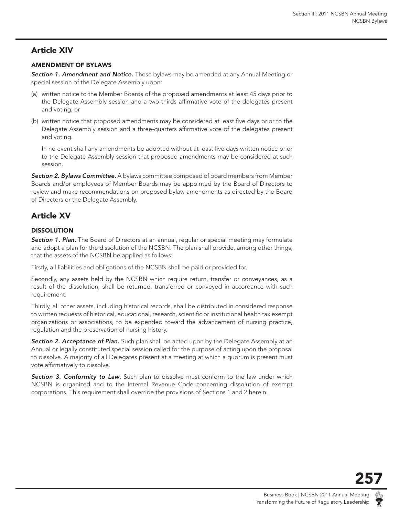### **Article XIV**

### **AMENDMENT OF BYLAWS**

*Section 1. Amendment and Notice.* These bylaws may be amended at any Annual Meeting or special session of the Delegate Assembly upon:

- (a) written notice to the Member Boards of the proposed amendments at least 45 days prior to the Delegate Assembly session and a two-thirds affirmative vote of the delegates present and voting; or
- (b) written notice that proposed amendments may be considered at least five days prior to the Delegate Assembly session and a three-quarters affirmative vote of the delegates present and voting.

In no event shall any amendments be adopted without at least five days written notice prior to the Delegate Assembly session that proposed amendments may be considered at such session.

*Section 2. Bylaws Committee.* A bylaws committee composed of board members from Member Boards and/or employees of Member Boards may be appointed by the Board of Directors to review and make recommendations on proposed bylaw amendments as directed by the Board of Directors or the Delegate Assembly.

### **Article XV**

### **DISSOLUTION**

**Section 1. Plan.** The Board of Directors at an annual, regular or special meeting may formulate and adopt a plan for the dissolution of the NCSBN. The plan shall provide, among other things, that the assets of the NCSBN be applied as follows:

Firstly, all liabilities and obligations of the NCSBN shall be paid or provided for.

Secondly, any assets held by the NCSBN which require return, transfer or conveyances, as a result of the dissolution, shall be returned, transferred or conveyed in accordance with such requirement.

Thirdly, all other assets, including historical records, shall be distributed in considered response to written requests of historical, educational, research, scientific or institutional health tax exempt organizations or associations, to be expended toward the advancement of nursing practice, regulation and the preservation of nursing history.

**Section 2. Acceptance of Plan.** Such plan shall be acted upon by the Delegate Assembly at an Annual or legally constituted special session called for the purpose of acting upon the proposal to dissolve. A majority of all Delegates present at a meeting at which a quorum is present must vote affirmatively to dissolve.

**Section 3. Conformity to Law.** Such plan to dissolve must conform to the law under which NCSBN is organized and to the Internal Revenue Code concerning dissolution of exempt corporations. This requirement shall override the provisions of Sections 1 and 2 herein.

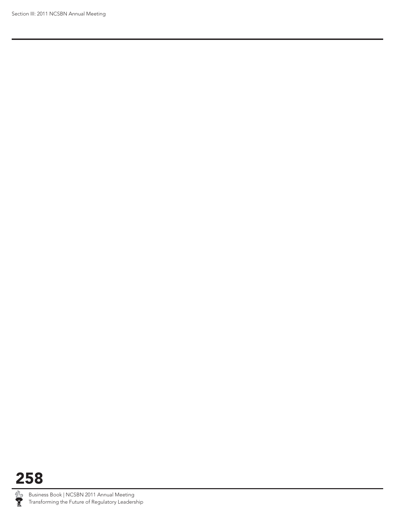$\mathbf{R}$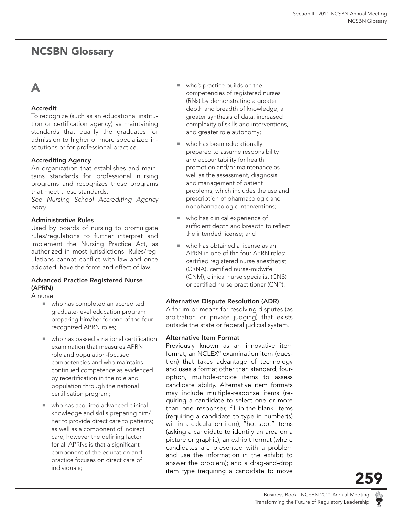# <span id="page-26-0"></span>**NCSBN Glossary**

## **A**

### **Accredit**

To recognize (such as an educational institution or certification agency) as maintaining standards that qualify the graduates for admission to higher or more specialized institutions or for professional practice.

### **Accrediting Agency**

An organization that establishes and maintains standards for professional nursing programs and recognizes those programs that meet these standards.

*See Nursing School Accrediting Agency entry.*

### **Administrative Rules**

Used by boards of nursing to promulgate rules/regulations to further interpret and implement the Nursing Practice Act, as authorized in most jurisdictions. Rules/regulations cannot conflict with law and once adopted, have the force and effect of law.

### **Advanced Practice Registered Nurse (APRN)**

A nurse:

- who has completed an accredited graduate-level education program preparing him/her for one of the four recognized APRN roles;
- who has passed a national certification examination that measures APRN role and population-focused competencies and who maintains continued competence as evidenced by recertification in the role and population through the national certification program;
- who has acquired advanced clinical knowledge and skills preparing him/ her to provide direct care to patients; as well as a component of indirect care; however the defining factor for all APRNs is that a significant component of the education and practice focuses on direct care of individuals;
- who's practice builds on the competencies of registered nurses (RNs) by demonstrating a greater depth and breadth of knowledge, a greater synthesis of data, increased complexity of skills and interventions, and greater role autonomy;
- who has been educationally prepared to assume responsibility and accountability for health promotion and/or maintenance as well as the assessment, diagnosis and management of patient problems, which includes the use and prescription of pharmacologic and nonpharmacologic interventions;
- who has clinical experience of sufficient depth and breadth to reflect the intended license; and
- who has obtained a license as an APRN in one of the four APRN roles: certified registered nurse anesthetist (CRNA), certified nurse-midwife (CNM), clinical nurse specialist (CNS) or certified nurse practitioner (CNP).

### **Alternative Dispute Resolution (ADR)**

A forum or means for resolving disputes (as arbitration or private judging) that exists outside the state or federal judicial system.

### **Alternative Item Format**

Previously known as an innovative item format; an NCLEX® examination item (question) that takes advantage of technology and uses a format other than standard, fouroption, multiple-choice items to assess candidate ability. Alternative item formats may include multiple-response items (requiring a candidate to select one or more than one response); fill-in-the-blank items (requiring a candidate to type in number(s) within a calculation item); "hot spot" items (asking a candidate to identify an area on a picture or graphic); an exhibit format (where candidates are presented with a problem and use the information in the exhibit to answer the problem); and a drag-and-drop item type (requiring a candidate to move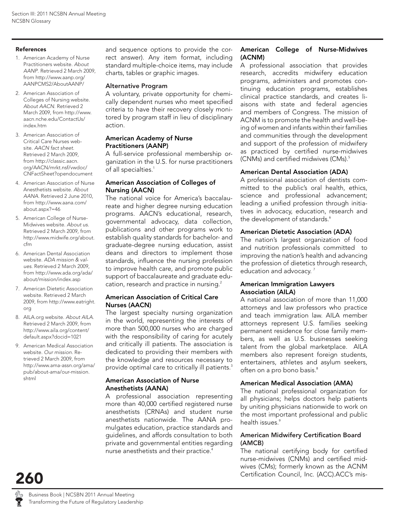#### **References**

- 1. American Academy of Nurse Practitioners website. *About AANP*. Retrieved 2 March 2009, from http://www.aanp.org/ AANPCMS2/AboutAANP/
- 2. American Association of Colleges of Nursing website. *About AACN*. Retrieved 2 March 2009, from http://www. aacn.nche.edu/ContactUs/ index.htm
- 3. American Association of Critical Care Nurses website. *AACN fact sheet.* Retrieved 2 March 2009, from http://classic.aacn. org/AACN/mrkt.nsf/vwdoc/ CNFactSheet?opendocument
- 4. American Association of Nurse Anesthetists website. *About AANA*. Retrieved 2 June 2010, from http://www.aana.com/ about.aspx?=46
- 5. American College of Nurse-Midwives website. *About us.*  Retrieved 2 March 2009, from http://www.midwife.org/about. cfm
- 6. American Dental Association website. *ADA mission & values.* Retrieved 2 March 2009, from http://www.ada.org/ada/ about/mission/index.asp
- 7. American Dietetic Association website. Retrieved 2 March 2009, from http://www.eatright. org
- 8. AILA.org website. *About AILA*. Retrieved 2 March 2009, from http://www.aila.org/content/ default.aspx?docid=1021
- 9. American Medical Association website. *Our mission.* Retrieved 2 March 2009, from http://www.ama-assn.org/ama/ pub/about-ama/our-mission. shtml

and sequence options to provide the correct answer). Any item format, including standard multiple-choice items, may include charts, tables or graphic images.

### **Alternative Program**

A voluntary, private opportunity for chemically dependent nurses who meet specified criteria to have their recovery closely monitored by program staff in lieu of disciplinary action.

### **American Academy of Nurse Practitioners (AANP)**

A full-service professional membership organization in the U.S. for nurse practitioners of all specialties.<sup>1</sup>

### **American Association of Colleges of Nursing (AACN)**

The national voice for America's baccalaureate and higher degree nursing education programs. AACN's educational, research, governmental advocacy, data collection, publications and other programs work to establish quality standards for bachelor- and graduate-degree nursing education, assist deans and directors to implement those standards, influence the nursing profession to improve health care, and promote public support of baccalaureate and graduate education, research and practice in nursing.<sup>2</sup>

### **American Association of Critical Care Nurses (AACN)**

The largest specialty nursing organization in the world, representing the interests of more than 500,000 nurses who are charged with the responsibility of caring for acutely and critically ill patients. The association is dedicated to providing their members with the knowledge and resources necessary to provide optimal care to critically ill patients.<sup>3</sup>

### **American Association of Nurse Anesthetists (AANA)**

A professional association representing more than 40,000 certified registered nurse anesthetists (CRNAs) and student nurse anesthetists nationwide. The AANA promulgates education, practice standards and guidelines, and affords consultation to both private and governmental entities regarding nurse anesthetists and their practice.<sup>4</sup>

### **American College of Nurse-Midwives (ACNM)**

A professional association that provides research, accredits midwifery education programs, administers and promotes continuing education programs, establishes clinical practice standards, and creates liaisons with state and federal agencies and members of Congress. The mission of ACNM is to promote the health and well-being of women and infants within their families and communities through the development and support of the profession of midwifery as practiced by certified nurse-midwives (CNMs) and certified midwives (CMs). $5$ 

### **American Dental Association (ADA)**

A professional association of dentists committed to the public's oral health, ethics, science and professional advancement; leading a unified profession through initiatives in advocacy, education, research and the development of standards.<sup>6</sup>

### **American Dietetic Association (ADA)**

The nation's largest organization of food and nutrition professionals committed to improving the nation's health and advancing the profession of dietetics through research, education and advocacy.<sup>7</sup>

### **American Immigration Lawyers Association (AILA)**

A national association of more than 11,000 attorneys and law professors who practice and teach immigration law. AILA member attorneys represent U.S. families seeking permanent residence for close family members, as well as U.S. businesses seeking talent from the global marketplace. AILA members also represent foreign students, entertainers, athletes and asylum seekers, often on a pro bono basis.<sup>8</sup>

### **American Medical Association (AMA)**

The national professional organization for all physicians; helps doctors help patients by uniting physicians nationwide to work on the most important professional and public health issues.<sup>9</sup>

### **American Midwifery Certification Board (AMCB)**

The national certifying body for certified nurse-midwives (CNMs) and certified midwives (CMs); formerly known as the ACNM Certification Council, Inc. (ACC).ACC's mis-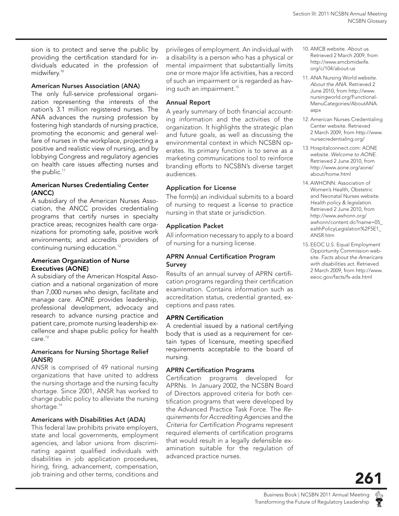sion is to protect and serve the public by providing the certification standard for individuals educated in the profession of midwifery.<sup>10</sup>

### **American Nurses Association (ANA)**

The only full-service professional organization representing the interests of the nation's 3.1 million registered nurses. The ANA advances the nursing profession by fostering high standards of nursing practice, promoting the economic and general welfare of nurses in the workplace, projecting a positive and realistic view of nursing, and by lobbying Congress and regulatory agencies on health care issues affecting nurses and the public.<sup>11</sup>

### **American Nurses Credentialing Center (ANCC)**

A subsidiary of the American Nurses Association, the ANCC provides credentialing programs that certify nurses in specialty practice areas; recognizes health care organizations for promoting safe, positive work environments; and accredits providers of continuing nursing education.<sup>12</sup>

### **American Organization of Nurse Executives (AONE)**

A subsidiary of the American Hospital Association and a national organization of more than 7,000 nurses who design, facilitate and manage care. AONE provides leadership, professional development, advocacy and research to advance nursing practice and patient care, promote nursing leadership excellence and shape public policy for health care.<sup>13</sup>

### **Americans for Nursing Shortage Relief (ANSR)**

ANSR is comprised of 49 national nursing organizations that have united to address the nursing shortage and the nursing faculty shortage. Since 2001, ANSR has worked to change public policy to alleviate the nursing shortage.<sup>14</sup>

### **Americans with Disabilities Act (ADA)**

This federal law prohibits private employers, state and local governments, employment agencies, and labor unions from discriminating against qualified individuals with disabilities in job application procedures, hiring, firing, advancement, compensation, job training and other terms, conditions and

privileges of employment. An individual with a disability is a person who has a physical or mental impairment that substantially limits one or more major life activities, has a record of such an impairment or is regarded as having such an impairment.<sup>15</sup>

### **Annual Report**

A yearly summary of both financial accounting information and the activities of the organization. It highlights the strategic plan and future goals, as well as discussing the environmental context in which NCSBN operates. Its primary function is to serve as a marketing communications tool to reinforce branding efforts to NCSBN's diverse target audiences.

### **Application for License**

The form(s) an individual submits to a board of nursing to request a license to practice nursing in that state or jurisdiction.

### **Application Packet**

All information necessary to apply to a board of nursing for a nursing license.

### **APRN Annual Certification Program Survey**

Results of an annual survey of APRN certification programs regarding their certification examination. Contains information such as accreditation status, credential granted, exceptions and pass rates.

### **APRN Certification**

A credential issued by a national certifying body that is used as a requirement for certain types of licensure, meeting specified requirements acceptable to the board of nursing.

### **APRN Certification Programs**

Certification programs developed for APRNs. In January 2002, the NCSBN Board of Directors approved criteria for both certification programs that were developed by the Advanced Practice Task Force. The *Requirements for Accrediting Agencies* and the *Criteria for Certifi cation Programs* represent required elements of certification programs that would result in a legally defensible examination suitable for the regulation of advanced practice nurses.

- 10. AMCB website. *About us*. Retrieved 2 March 2009, from http://www.amcbmidwife. org/c/104/about-us
- 11. ANA Nursing World website. *About the ANA*. Retrieved 2 June 2010, from http://www. nursingworld.org/Functional-MenuCategories/AboutANA. aspx
- 12. American Nurses Credentialing Center website. Retrieved 2 March 2009, from http://www. nursecredentialing.org/
- 13. Hospitalconnect.com: AONE website. *Welcome to AONE*. Retrieved 2 June 2010, from http://www.aone.org/aone/ about/home.html
- 14. AWHONN: Association of Women's Health, Obstetric and Neonatal Nurses website. *Health policy & legislation.* Retrieved 2 June 2010, from http://www.awhonn.org/ awhonn/content.do?name=05\_ ealthPolicyLegislation%2F5E1\_ ANSR.htm
- 15. EEOC U.S. Equal Employment Opportunity Commission website. *Facts about the Americans with disabilities act*. Retrieved 2 March 2009, from http://www. eeoc.gov/facts/fs-ada.html

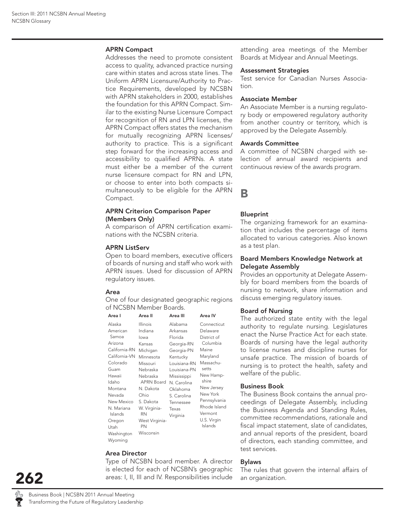### **APRN Compact**

Addresses the need to promote consistent access to quality, advanced practice nursing care within states and across state lines. The Uniform APRN Licensure/Authority to Practice Requirements, developed by NCSBN with APRN stakeholders in 2000, establishes the foundation for this APRN Compact. Similar to the existing Nurse Licensure Compact for recognition of RN and LPN licenses, the APRN Compact offers states the mechanism for mutually recognizing APRN licenses/ authority to practice. This is a significant step forward for the increasing access and accessibility to qualified APRNs. A state must either be a member of the current nurse licensure compact for RN and LPN, or choose to enter into both compacts simultaneously to be eligible for the APRN Compact.

### **APRN Criterion Comparison Paper (Members Only)**

A comparison of APRN certification examinations with the NCSBN criteria.

### **APRN ListServ**

Open to board members, executive officers of boards of nursing and staff who work with APRN issues. Used for discussion of APRN regulatory issues.

### **Area**

One of four designated geographic regions of NCSBN Member Boards.

| Area I                                                                                                                 | Area II                                                                                                                           | Area III                                                                                               | Area IV                                                                                                           |
|------------------------------------------------------------------------------------------------------------------------|-----------------------------------------------------------------------------------------------------------------------------------|--------------------------------------------------------------------------------------------------------|-------------------------------------------------------------------------------------------------------------------|
| Alaska<br>American<br>Samoa<br>Arizona<br>California-RN<br>California-VN<br>Colorado<br>Guam                           | Illinois<br>Indiana<br>lowa<br>Kansas<br>Michigan<br>Minnesota<br>Missouri<br>Nebraska                                            | Alabama<br>Arkansas<br>Florida<br>Georgia-RN<br>Georgia-PN<br>Kentucky<br>Louisiana-RN<br>Louisiana-PN | Connecticut<br>Delaware<br>District of<br>Columbia<br>Maine<br>Maryland<br>Massachu-<br>setts                     |
| Hawaii<br>Idaho<br>Montana<br>Nevada<br>New Mexico<br>N. Mariana<br>Islands<br>Oregon<br>Utah<br>Washington<br>Wyoming | Nebraska<br><b>APRN Board</b><br>N. Dakota<br>Ohio<br>S. Dakota<br>W. Virginia-<br><b>RN</b><br>West Virginia-<br>PN<br>Wisconsin | Mississippi<br>N. Carolina<br>Oklahoma<br>S. Carolina<br>Tennessee<br>Texas<br>Virginia                | New Hamp-<br>shire<br>New Jersey<br>New York<br>Pennsylvania<br>Rhode Island<br>Vermont<br>U.S. Virgin<br>Islands |

### **Area Director**

Type of NCSBN board member. A director is elected for each of NCSBN's geographic areas: I, II, III and IV. Responsibilities include

attending area meetings of the Member Boards at Midyear and Annual Meetings.

### **Assessment Strategies**

Test service for Canadian Nurses Association.

### **Associate Member**

An Associate Member is a nursing regulatory body or empowered regulatory authority from another country or territory, which is approved by the Delegate Assembly.

### **Awards Committee**

A committee of NCSBN charged with selection of annual award recipients and continuous review of the awards program.

## **B**

### **Blueprint**

The organizing framework for an examination that includes the percentage of items allocated to various categories. Also known as a test plan.

### **Board Members Knowledge Network at Delegate Assembly**

Provides an opportunity at Delegate Assembly for board members from the boards of nursing to network, share information and discuss emerging regulatory issues.

### **Board of Nursing**

The authorized state entity with the legal authority to regulate nursing. Legislatures enact the Nurse Practice Act for each state. Boards of nursing have the legal authority to license nurses and discipline nurses for unsafe practice. The mission of boards of nursing is to protect the health, safety and welfare of the public.

### **Business Book**

The Business Book contains the annual proceedings of Delegate Assembly, including the Business Agenda and Standing Rules, committee recommendations, rationale and fiscal impact statement, slate of candidates, and annual reports of the president, board of directors, each standing committee, and test services.

#### **Bylaws**

The rules that govern the internal affairs of an organization.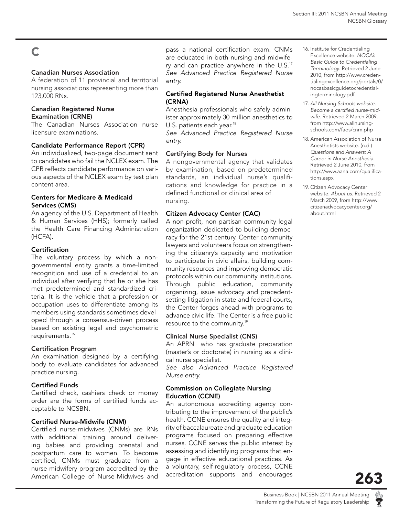# **C**

### **Canadian Nurses Association**

A federation of 11 provincial and territorial nursing associations representing more than 123,000 RNs.

### **Canadian Registered Nurse Examination (CRNE)**

The Canadian Nurses Association nurse licensure examinations.

### **Candidate Performance Report (CPR)**

An individualized, two-page document sent to candidates who fail the NCLEX exam. The CPR reflects candidate performance on various aspects of the NCLEX exam by test plan content area.

### **Centers for Medicare & Medicaid Services (CMS)**

An agency of the U.S. Department of Health & Human Services (HHS); formerly called the Health Care Financing Administration (HCFA).

### **Certification**

The voluntary process by which a nongovernmental entity grants a time-limited recognition and use of a credential to an individual after verifying that he or she has met predetermined and standardized criteria. It is the vehicle that a profession or occupation uses to differentiate among its members using standards sometimes developed through a consensus-driven process based on existing legal and psychometric requirements.16

### **Certification Program**

An examination designed by a certifying body to evaluate candidates for advanced practice nursing.

### **Certified Funds**

Certified check, cashiers check or money order are the forms of certified funds acceptable to NCSBN.

### **Certified Nurse-Midwife (CNM)**

Certified nurse-midwives (CNMs) are RNs with additional training around delivering babies and providing prenatal and postpartum care to women. To become certified, CNMs must graduate from a nurse-midwifery program accredited by the American College of Nurse-Midwives and

pass a national certification exam. CNMs are educated in both nursing and midwifery and can practice anywhere in the  $U.S.^{17}$ *See Advanced Practice Registered Nurse entry.* 

### **Certified Registered Nurse Anesthetist (CRNA)**

Anesthesia professionals who safely administer approximately 30 million anesthetics to U.S. patients each year.<sup>18</sup>

*See Advanced Practice Registered Nurse entry.*

### **Certifying Body for Nurses**

A nongovernmental agency that validates by examination, based on predetermined standards, an individual nurse's qualifications and knowledge for practice in a defined functional or clinical area of nursing.

### **Citizen Advocacy Center (CAC)**

A non-profit, non-partisan community legal organization dedicated to building democracy for the 21st century. Center community lawyers and volunteers focus on strengthening the citizenry's capacity and motivation to participate in civic affairs, building community resources and improving democratic protocols within our community institutions. Through public education, community organizing, issue advocacy and precedentsetting litigation in state and federal courts, the Center forges ahead with programs to advance civic life. The Center is a free public resource to the community.<sup>19</sup>

### **Clinical Nurse Specialist (CNS)**

An APRN who has graduate preparation (master's or doctorate) in nursing as a clinical nurse specialist.

*See also Advanced Practice Registered Nurse entry.* 

### **Commission on Collegiate Nursing Education (CCNE)**

An autonomous accrediting agency contributing to the improvement of the public's health. CCNE ensures the quality and integrity of baccalaureate and graduate education programs focused on preparing effective nurses. CCNE serves the public interest by assessing and identifying programs that engage in effective educational practices. As a voluntary, self-regulatory process, CCNE accreditation supports and encourages

- 16. Institute for Credentialing Excellence website. *NOCA's Basic Guide to Credentialing Terminology*. Retrieved 2 June 2010, from http://www.credentialingexcellence.org/portals/0/ nocasbasicguidetocredentialingterminology.pdf
- 17. *All Nursing Schools website*. Become a certified nurse-mid*wife*. Retrieved 2 March 2009, from http://www.allnursingschools.com/faqs/cnm.php
- 18. American Association of Nurse Anesthetists website. (n.d.) *Questions and Answers: A Career in Nurse Anesthesia*. Retrieved 2 June 2010, from http://www.aana.com/qualifications.aspx
- 19. Citizen Advocacy Center website. *About us*. Retrieved 2 March 2009, from http://www. citizenadvocacycenter.org/ about.html

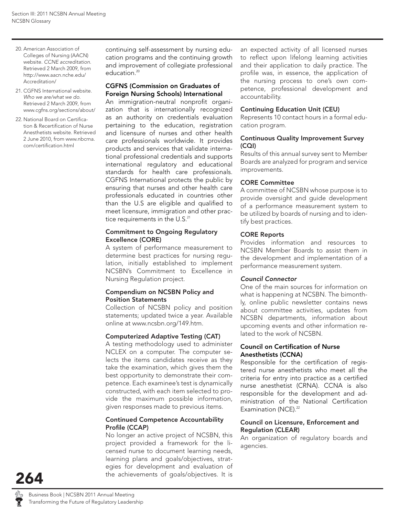- 20. American Association of Colleges of Nursing (AACN) website. *CCNE accreditation*. Retrieved 2 March 2009, from http://www.aacn.nche.edu/ Accreditation/
- 21. CGFNS International website. *Who we are/what we do*. Retrieved 2 March 2009, from www.cgfns.org/sections/about/
- 22. National Board on Certification & Recertification of Nurse Anesthetists website. Retrieved 2 June 2010, from www.nbcrna. com/certification.html

continuing self-assessment by nursing education programs and the continuing growth and improvement of collegiate professional education.<sup>20</sup>

### **CGFNS (Commission on Graduates of Foreign Nursing Schools) International**

An immigration-neutral nonprofit organization that is internationally recognized as an authority on credentials evaluation pertaining to the education, registration and licensure of nurses and other health care professionals worldwide. It provides products and services that validate international professional credentials and supports international regulatory and educational standards for health care professionals. CGFNS International protects the public by ensuring that nurses and other health care professionals educated in countries other than the U.S are eligible and qualified to meet licensure, immigration and other practice requirements in the U.S.<sup>21</sup>

### **Commitment to Ongoing Regulatory Excellence (CORE)**

A system of performance measurement to determine best practices for nursing regulation, initially established to implement NCSBN's Commitment to Excellence in Nursing Regulation project.

### **Compendium on NCSBN Policy and Position Statements**

Collection of NCSBN policy and position statements; updated twice a year. Available online at www.ncsbn.org/149.htm.

### **Computerized Adaptive Testing (CAT)**

A testing methodology used to administer NCLEX on a computer. The computer selects the items candidates receive as they take the examination, which gives them the best opportunity to demonstrate their competence. Each examinee's test is dynamically constructed, with each item selected to provide the maximum possible information, given responses made to previous items.

### **Continued Competence Accountability Profile (CCAP)**

No longer an active project of NCSBN, this project provided a framework for the licensed nurse to document learning needs, learning plans and goals/objectives, strategies for development and evaluation of the achievements of goals/objectives. It is

an expected activity of all licensed nurses to reflect upon lifelong learning activities and their application to daily practice. The profile was, in essence, the application of the nursing process to one's own competence, professional development and accountability.

### **Continuing Education Unit (CEU)**

Represents 10 contact hours in a formal education program.

### **Continuous Quality Improvement Survey (CQI)**

Results of this annual survey sent to Member Boards are analyzed for program and service improvements.

### **CORE Committee**

A committee of NCSBN whose purpose is to provide oversight and guide development of a performance measurement system to be utilized by boards of nursing and to identify best practices.

### **CORE Reports**

Provides information and resources to NCSBN Member Boards to assist them in the development and implementation of a performance measurement system.

### *Council Connector*

One of the main sources for information on what is happening at NCSBN. The bimonthly, online public newsletter contains news about committee activities, updates from NCSBN departments, information about upcoming events and other information related to the work of NCSBN.

### **Council on Certification of Nurse Anesthetists (CCNA)**

Responsible for the certification of registered nurse anesthetists who meet all the criteria for entry into practice as a certified nurse anesthetist (CRNA). CCNA is also responsible for the development and administration of the National Certification Examination (NCE).<sup>22</sup>

### **Council on Licensure, Enforcement and Regulation (CLEAR)**

An organization of regulatory boards and agencies.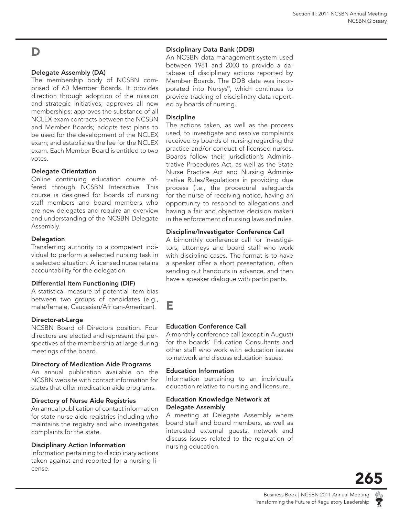#### Section III: 2011 NCSBN Annual Meeting NCSBN Glossary

# **D**

### **Delegate Assembly (DA)**

The membership body of NCSBN comprised of 60 Member Boards. It provides direction through adoption of the mission and strategic initiatives; approves all new memberships; approves the substance of all NCLEX exam contracts between the NCSBN and Member Boards; adopts test plans to be used for the development of the NCLEX exam; and establishes the fee for the NCLEX exam. Each Member Board is entitled to two votes.

### **Delegate Orientation**

Online continuing education course offered through NCSBN Interactive. This course is designed for boards of nursing staff members and board members who are new delegates and require an overview and understanding of the NCSBN Delegate Assembly.

### **Delegation**

Transferring authority to a competent individual to perform a selected nursing task in a selected situation. A licensed nurse retains accountability for the delegation.

### **Differential Item Functioning (DIF)**

A statistical measure of potential item bias between two groups of candidates (e.g., male/female, Caucasian/African-American).

### **Director-at-Large**

NCSBN Board of Directors position. Four directors are elected and represent the perspectives of the membership at large during meetings of the board.

### **Directory of Medication Aide Programs**

An annual publication available on the NCSBN website with contact information for states that offer medication aide programs.

### **Directory of Nurse Aide Registries**

An annual publication of contact information for state nurse aide registries including who maintains the registry and who investigates complaints for the state.

### **Disciplinary Action Information**

Information pertaining to disciplinary actions taken against and reported for a nursing license.

### **Disciplinary Data Bank (DDB)**

An NCSBN data management system used between 1981 and 2000 to provide a database of disciplinary actions reported by Member Boards. The DDB data was incorporated into Nur*sys*® , which continues to provide tracking of disciplinary data reported by boards of nursing.

### **Discipline**

The actions taken, as well as the process used, to investigate and resolve complaints received by boards of nursing regarding the practice and/or conduct of licensed nurses. Boards follow their jurisdiction's Administrative Procedures Act, as well as the State Nurse Practice Act and Nursing Administrative Rules/Regulations in providing due process (i.e., the procedural safeguards for the nurse of receiving notice, having an opportunity to respond to allegations and having a fair and objective decision maker) in the enforcement of nursing laws and rules.

### **Discipline/Investigator Conference Call**

A bimonthly conference call for investigators, attorneys and board staff who work with discipline cases. The format is to have a speaker offer a short presentation, often sending out handouts in advance, and then have a speaker dialogue with participants.

### **Education Conference Call**

**E**

A monthly conference call (except in August) for the boards' Education Consultants and other staff who work with education issues to network and discuss education issues.

### **Education Information**

Information pertaining to an individual's education relative to nursing and licensure.

### **Education Knowledge Network at Delegate Assembly**

A meeting at Delegate Assembly where board staff and board members, as well as interested external guests, network and discuss issues related to the regulation of nursing education.

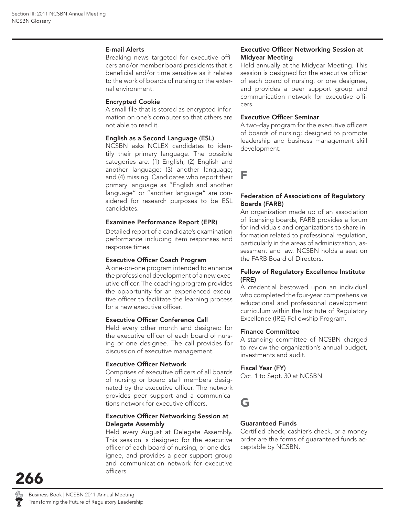### **E-mail Alerts**

Breaking news targeted for executive officers and/or member board presidents that is beneficial and/or time sensitive as it relates to the work of boards of nursing or the external environment.

### **Encrypted Cookie**

A small file that is stored as encrypted information on one's computer so that others are not able to read it.

### **English as a Second Language (ESL)**

NCSBN asks NCLEX candidates to identify their primary language. The possible categories are: (1) English; (2) English and another language; (3) another language; and (4) missing. Candidates who report their primary language as "English and another language" or "another language" are considered for research purposes to be ESL candidates.

### **Examinee Performance Report (EPR)**

Detailed report of a candidate's examination performance including item responses and response times.

### **Executive Officer Coach Program**

A one-on-one program intended to enhance the professional development of a new executive officer. The coaching program provides the opportunity for an experienced executive officer to facilitate the learning process for a new executive officer.

### **Executive Officer Conference Call**

Held every other month and designed for the executive officer of each board of nursing or one designee. The call provides for discussion of executive management.

### **Executive Officer Network**

Comprises of executive officers of all boards of nursing or board staff members designated by the executive officer. The network provides peer support and a communications network for executive officers.

### **Executive Officer Networking Session at Delegate Assembly**

Held every August at Delegate Assembly. This session is designed for the executive officer of each board of nursing, or one designee, and provides a peer support group and communication network for executive officers.

### **Executive Officer Networking Session at Midyear Meeting**

Held annually at the Midyear Meeting. This session is designed for the executive officer of each board of nursing, or one designee, and provides a peer support group and communication network for executive officers.

### **Executive Officer Seminar**

A two-day program for the executive officers of boards of nursing; designed to promote leadership and business management skill development.

**F**

### **Federation of Associations of Regulatory Boards (FARB)**

An organization made up of an association of licensing boards, FARB provides a forum for individuals and organizations to share information related to professional regulation, particularly in the areas of administration, assessment and law. NCSBN holds a seat on the FARB Board of Directors.

### **Fellow of Regulatory Excellence Institute (FRE)**

A credential bestowed upon an individual who completed the four-year comprehensive educational and professional development curriculum within the Institute of Regulatory Excellence (IRE) Fellowship Program.

### **Finance Committee**

A standing committee of NCSBN charged to review the organization's annual budget, investments and audit.

### **Fiscal Year (FY)**

Oct. 1 to Sept. 30 at NCSBN.

**G**

### **Guaranteed Funds**

Certified check, cashier's check, or a money order are the forms of guaranteed funds acceptable by NCSBN.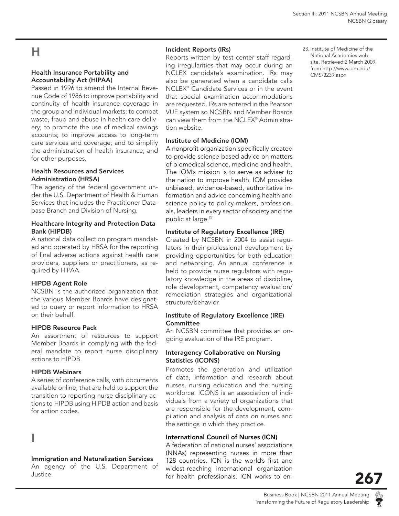# **H**

### **Health Insurance Portability and Accountability Act (HIPAA)**

Passed in 1996 to amend the Internal Revenue Code of 1986 to improve portability and continuity of health insurance coverage in the group and individual markets; to combat waste, fraud and abuse in health care delivery; to promote the use of medical savings accounts; to improve access to long-term care services and coverage; and to simplify the administration of health insurance; and for other purposes.

### **Health Resources and Services Administration (HRSA)**

The agency of the federal government under the U.S. Department of Health & Human Services that includes the Practitioner Database Branch and Division of Nursing.

### **Healthcare Integrity and Protection Data Bank (HIPDB)**

A national data collection program mandated and operated by HRSA for the reporting of final adverse actions against health care providers, suppliers or practitioners, as required by HIPAA.

### **HIPDB Agent Role**

NCSBN is the authorized organization that the various Member Boards have designated to query or report information to HRSA on their behalf.

### **HIPDB Resource Pack**

An assortment of resources to support Member Boards in complying with the federal mandate to report nurse disciplinary actions to HIPDB.

### **HIPDB Webinars**

A series of conference calls, with documents available online, that are held to support the transition to reporting nurse disciplinary actions to HIPDB using HIPDB action and basis for action codes.

# **I**

### **Immigration and Naturalization Services**

An agency of the U.S. Department of Justice.

### **Incident Reports (IRs)**

Reports written by test center staff regarding irregularities that may occur during an NCLEX candidate's examination. IRs may also be generated when a candidate calls NCLEX® Candidate Services or in the event that special examination accommodations are requested. IRs are entered in the Pearson VUE system so NCSBN and Member Boards can view them from the NCLEX® Administration website.

### **Institute of Medicine (IOM)**

A nonprofit organization specifically created to provide science-based advice on matters of biomedical science, medicine and health. The IOM's mission is to serve as adviser to the nation to improve health. IOM provides unbiased, evidence-based, authoritative information and advice concerning health and science policy to policy-makers, professionals, leaders in every sector of society and the public at large.<sup>23</sup>

### **Institute of Regulatory Excellence (IRE)**

Created by NCSBN in 2004 to assist regulators in their professional development by providing opportunities for both education and networking. An annual conference is held to provide nurse regulators with regulatory knowledge in the areas of discipline, role development, competency evaluation/ remediation strategies and organizational structure/behavior.

### **Institute of Regulatory Excellence (IRE) Committee**

An NCSBN committee that provides an ongoing evaluation of the IRE program.

### **Interagency Collaborative on Nursing Statistics (ICONS)**

Promotes the generation and utilization of data, information and research about nurses, nursing education and the nursing workforce. ICONS is an association of individuals from a variety of organizations that are responsible for the development, compilation and analysis of data on nurses and the settings in which they practice.

### **International Council of Nurses (ICN)**

A federation of national nurses' associations (NNAs) representing nurses in more than 128 countries. ICN is the world's first and widest-reaching international organization for health professionals. ICN works to en23. Institute of Medicine of the National Academies website. Retrieved 2 March 2009, from http://www.iom.edu/ CMS/3239.aspx

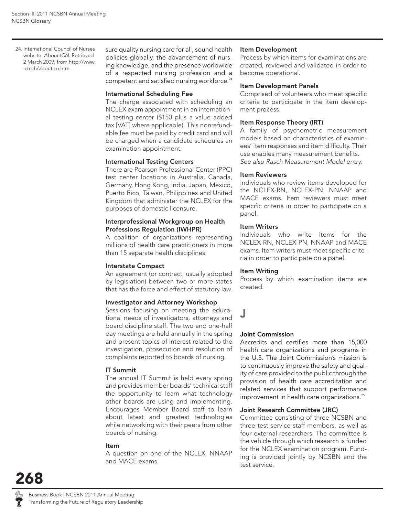24. International Council of Nurses website. *About ICN.* Retrieved 2 March 2009, from http://www. icn.ch/abouticn.htm

sure quality nursing care for all, sound health policies globally, the advancement of nursing knowledge, and the presence worldwide of a respected nursing profession and a competent and satisfied nursing workforce.<sup>24</sup>

### **International Scheduling Fee**

The charge associated with scheduling an NCLEX exam appointment in an international testing center (\$150 plus a value added tax [VAT] where applicable). This nonrefundable fee must be paid by credit card and will be charged when a candidate schedules an examination appointment.

### **International Testing Centers**

There are Pearson Professional Center (PPC) test center locations in Australia, Canada, Germany, Hong Kong, India, Japan, Mexico, Puerto Rico, Taiwan, Philippines and United Kingdom that administer the NCLEX for the purposes of domestic licensure.

### **Interprofessional Workgroup on Health Professions Regulation (IWHPR)**

A coalition of organizations representing millions of health care practitioners in more than 15 separate health disciplines.

### **Interstate Compact**

An agreement (or contract, usually adopted by legislation) between two or more states that has the force and effect of statutory law.

### **Investigator and Attorney Workshop**

Sessions focusing on meeting the educational needs of investigators, attorneys and board discipline staff. The two and one-half day meetings are held annually in the spring and present topics of interest related to the investigation, prosecution and resolution of complaints reported to boards of nursing.

### **IT Summit**

The annual IT Summit is held every spring and provides member boards' technical staff the opportunity to learn what technology other boards are using and implementing. Encourages Member Board staff to learn about latest and greatest technologies while networking with their peers from other boards of nursing.

### **Item**

A question on one of the NCLEX, NNAAP and MACE exams.

### **Item Development**

Process by which items for examinations are created, reviewed and validated in order to become operational.

### **Item Development Panels**

Comprised of volunteers who meet specific criteria to participate in the item development process.

### **Item Response Theory (IRT)**

A family of psychometric measurement models based on characteristics of examinees' item responses and item difficulty. Their use enables many measurement benefits. *See also Rasch Measurement Model entry.*

### **Item Reviewers**

Individuals who review items developed for the NCLEX-RN, NCLEX-PN, NNAAP and MACE exams. Item reviewers must meet specific criteria in order to participate on a panel.

### **Item Writers**

Individuals who write items for the NCLEX-RN, NCLEX-PN, NNAAP and MACE exams. Item writers must meet specific criteria in order to participate on a panel.

### **Item Writing**

Process by which examination items are created.

# **J**

### **Joint Commission**

Accredits and certifies more than 15,000 health care organizations and programs in the U.S. The Joint Commission's mission is to continuously improve the safety and quality of care provided to the public through the provision of health care accreditation and related services that support performance improvement in health care organizations.<sup>25</sup>

### **Joint Research Committee (JRC)**

Committee consisting of three NCSBN and three test service staff members, as well as four external researchers. The committee is the vehicle through which research is funded for the NCLEX examination program. Funding is provided jointly by NCSBN and the test service.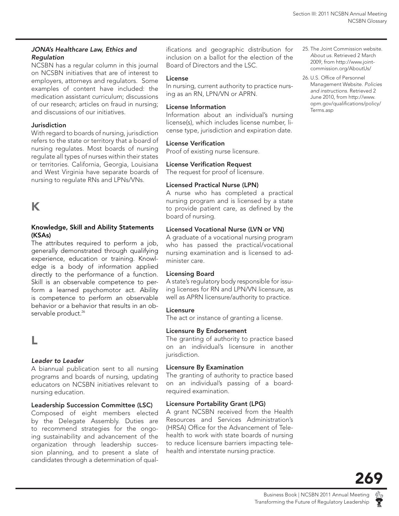### *JONA's Healthcare Law, Ethics and Regulation*

NCSBN has a regular column in this journal on NCSBN initiatives that are of interest to employers, attorneys and regulators. Some examples of content have included: the medication assistant curriculum; discussions of our research; articles on fraud in nursing; and discussions of our initiatives.

### **Jurisdiction**

With regard to boards of nursing, jurisdiction refers to the state or territory that a board of nursing regulates. Most boards of nursing regulate all types of nurses within their states or territories. California, Georgia, Louisiana and West Virginia have separate boards of nursing to regulate RNs and LPNs/VNs.

# **K**

### **Knowledge, Skill and Ability Statements (KSAs)**

The attributes required to perform a job, generally demonstrated through qualifying experience, education or training. Knowledge is a body of information applied directly to the performance of a function. Skill is an observable competence to perform a learned psychomotor act. Ability is competence to perform an observable behavior or a behavior that results in an observable product.<sup>26</sup>

## **L**

### *Leader to Leader*

A biannual publication sent to all nursing programs and boards of nursing, updating educators on NCSBN initiatives relevant to nursing education.

### **Leadership Succession Committee (LSC)**

Composed of eight members elected by the Delegate Assembly. Duties are to recommend strategies for the ongoing sustainability and advancement of the organization through leadership succession planning, and to present a slate of candidates through a determination of qual-

ifications and geographic distribution for inclusion on a ballot for the election of the Board of Directors and the LSC.

### **License**

In nursing, current authority to practice nursing as an RN, LPN/VN or APRN.

#### **License Information**

Information about an individual's nursing license(s), which includes license number, license type, jurisdiction and expiration date.

### **License Verification**

Proof of existing nurse licensure.

### **License Verification Request**

The request for proof of licensure.

### **Licensed Practical Nurse (LPN)**

A nurse who has completed a practical nursing program and is licensed by a state to provide patient care, as defined by the board of nursing.

### **Licensed Vocational Nurse (LVN or VN)**

A graduate of a vocational nursing program who has passed the practical/vocational nursing examination and is licensed to administer care.

### **Licensing Board**

A state's regulatory body responsible for issuing licenses for RN and LPN/VN licensure, as well as APRN licensure/authority to practice.

### **Licensure**

The act or instance of granting a license.

### **Licensure By Endorsement**

The granting of authority to practice based on an individual's licensure in another jurisdiction.

### **Licensure By Examination**

The granting of authority to practice based on an individual's passing of a boardrequired examination.

### **Licensure Portability Grant (LPG)**

A grant NCSBN received from the Health Resources and Services Administration's (HRSA) Office for the Advancement of Telehealth to work with state boards of nursing to reduce licensure barriers impacting telehealth and interstate nursing practice.

- 25. The Joint Commission website. *About us.* Retrieved 2 March 2009, from http://www.jointcommission.org/AboutUs/
- 26. U.S. Office of Personnel Management Website. *Policies and instructions*. Retrieved 2 June 2010, from http://www. opm.gov/qualifications/policy/ Terms.asp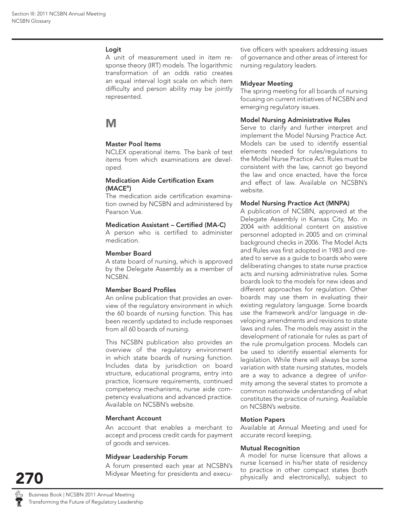### **Logit**

A unit of measurement used in item response theory (IRT) models. The logarithmic transformation of an odds ratio creates an equal interval logit scale on which item difficulty and person ability may be jointly represented.

### **M**

### **Master Pool Items**

NCLEX operational items. The bank of test items from which examinations are developed.

### **Medication Aide Certification Exam (MACE® )**

The medication aide certification examination owned by NCSBN and administered by Pearson Vue.

### **Medication Assistant – Certified (MA-C)**

A person who is certified to administer medication.

### **Member Board**

A state board of nursing, which is approved by the Delegate Assembly as a member of NCSBN.

### **Member Board Profiles**

An online publication that provides an overview of the regulatory environment in which the 60 boards of nursing function. This has been recently updated to include responses from all 60 boards of nursing.

This NCSBN publication also provides an overview of the regulatory environment in which state boards of nursing function. Includes data by jurisdiction on board structure, educational programs, entry into practice, licensure requirements, continued competency mechanisms, nurse aide competency evaluations and advanced practice. Available on NCSBN's website.

### **Merchant Account**

An account that enables a merchant to accept and process credit cards for payment of goods and services.

### **Midyear Leadership Forum**

A forum presented each year at NCSBN's Midyear Meeting for presidents and executive officers with speakers addressing issues of governance and other areas of interest for nursing regulatory leaders.

### **Midyear Meeting**

The spring meeting for all boards of nursing focusing on current initiatives of NCSBN and emerging regulatory issues.

### **Model Nursing Administrative Rules**

Serve to clarify and further interpret and implement the Model Nursing Practice Act. Models can be used to identify essential elements needed for rules/regulations to the Model Nurse Practice Act. Rules must be consistent with the law, cannot go beyond the law and once enacted, have the force and effect of law. Available on NCSBN's website.

### **Model Nursing Practice Act (MNPA)**

A publication of NCSBN, approved at the Delegate Assembly in Kansas City, Mo. in 2004 with additional content on assistive personnel adopted in 2005 and on criminal background checks in 2006. The Model Acts and Rules was first adopted in 1983 and created to serve as a guide to boards who were deliberating changes to state nurse practice acts and nursing administrative rules. Some boards look to the models for new ideas and different approaches for regulation. Other boards may use them in evaluating their existing regulatory language. Some boards use the framework and/or language in developing amendments and revisions to state laws and rules. The models may assist in the development of rationale for rules as part of the rule promulgation process. Models can be used to identify essential elements for legislation. While there will always be some variation with state nursing statutes, models are a way to advance a degree of uniformity among the several states to promote a common nationwide understanding of what constitutes the practice of nursing. Available on NCSBN's website.

### **Motion Papers**

Available at Annual Meeting and used for accurate record keeping.

### **Mutual Recognition**

A model for nurse licensure that allows a nurse licensed in his/her state of residency to practice in other compact states (both physically and electronically), subject to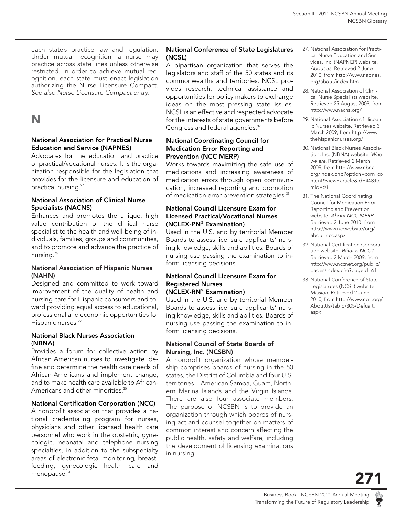each state's practice law and regulation. Under mutual recognition, a nurse may practice across state lines unless otherwise restricted. In order to achieve mutual recognition, each state must enact legislation authorizing the Nurse Licensure Compact. *See also Nurse Licensure Compact entry.*

# **N**

### **National Association for Practical Nurse Education and Service (NAPNES)**

Advocates for the education and practice of practical/vocational nurses. It is the organization responsible for the legislation that provides for the licensure and education of practical nursing.27

### **National Association of Clinical Nurse Specialists (NACNS)**

Enhances and promotes the unique, high value contribution of the clinical nurse specialist to the health and well-being of individuals, families, groups and communities, and to promote and advance the practice of nursing.28

### **National Association of Hispanic Nurses (NAHN)**

Designed and committed to work toward improvement of the quality of health and nursing care for Hispanic consumers and toward providing equal access to educational, professional and economic opportunities for Hispanic nurses.<sup>29</sup>

### **National Black Nurses Association (NBNA)**

Provides a forum for collective action by African American nurses to investigate, define and determine the health care needs of African-Americans and implement change; and to make health care available to African-Americans and other minorities.<sup>30</sup>

### **National Certification Corporation (NCC)**

A nonprofit association that provides a national credentialing program for nurses, physicians and other licensed health care personnel who work in the obstetric, gynecologic, neonatal and telephone nursing specialties, in addition to the subspecialty areas of electronic fetal monitoring, breastfeeding, gynecologic health care and menopause.31

### **National Conference of State Legislatures (NCSL)**

A bipartisan organization that serves the legislators and staff of the 50 states and its commonwealths and territories. NCSL provides research, technical assistance and opportunities for policy makers to exchange ideas on the most pressing state issues. NCSL is an effective and respected advocate for the interests of state governments before Congress and federal agencies.<sup>32</sup>

### **National Coordinating Council for Medication Error Reporting and Prevention (NCC MERP)**

Works towards maximizing the safe use of medications and increasing awareness of medication errors through open communication, increased reporting and promotion of medication error prevention strategies.<sup>33</sup>

### **National Council Licensure Exam for Licensed Practical/Vocational Nurses (NCLEX-PN® Examination)**

Used in the U.S. and by territorial Member Boards to assess licensure applicants' nursing knowledge, skills and abilities. Boards of nursing use passing the examination to inform licensing decisions.

### **National Council Licensure Exam for Registered Nurses (NCLEX-RN® Examination)**

Used in the U.S. and by territorial Member Boards to assess licensure applicants' nursing knowledge, skills and abilities. Boards of nursing use passing the examination to inform licensing decisions.

### **National Council of State Boards of Nursing, Inc. (NCSBN)**

A nonprofit organization whose membership comprises boards of nursing in the 50 states, the District of Columbia and four U.S. territories – American Samoa, Guam, Northern Marina Islands and the Virgin Islands. There are also four associate members. The purpose of NCSBN is to provide an organization through which boards of nursing act and counsel together on matters of common interest and concern affecting the public health, safety and welfare, including the development of licensing examinations in nursing.

- 27. National Association for Practical Nurse Education and Services, Inc. (NAPNEP) website. *About us*. Retrieved 2 June 2010, from http://www.napnes. org/about/index.htm
- 28. National Association of Clinical Nurse Specialists website. Retrieved 25 August 2009, from http://www.nacns.org/
- 29. National Association of Hispanic Nurses website. Retrieved 3 March 2009, from http://www. thehispanicnurses.org/
- 30. National Black Nurses Association, Inc. (NBNA) website. *Who we are.* Retrieved 2 March 2009, from http://www.nbna. org/index.php?option=com\_co ntent&view=article&id=44&Ite mid=60
- 31. The National Coordinating Council for Medication Error Reporting and Prevention website. *About NCC MERP*. Retrieved 2 June 2010, from http://www.nccwebsite/org/ about-ncc.aspx
- 32. National Certification Corporation website. *What is NCC?* Retrieved 2 March 2009, from http://www.nccnet.org/public/ pages/index.cfm?pageid=61
- 33. National Conference of State Legislatures (NCSL) website. *Mission*. Retrieved 2 June 2010, from http://www.ncsl.org/ AboutUs/tabid/305/Defualt. aspx

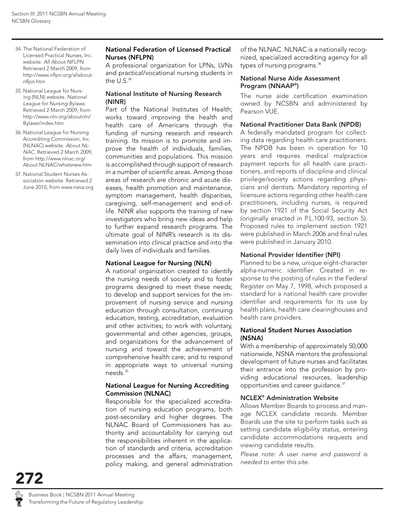- 34. The National Federation of Licensed Practical Nurses, Inc. website. *All About NFLPN*. Retrieved 2 March 2009, from http://www.nflpn.org/allaboutnflpn.htm
- 35. National League for Nursing (NLN) website. *National League for Nursing Bylaws.* Retrieved 2 March 2009, from http://www.nln.org/aboutnln/ Bylaws/index.htm
- 36. National League for Nursing Accrediting Commission, Inc. (NLNAC) website. *About NL-NAC*. Retrieved 2 March 2009, from http://www.nlnac.org/ About NLNAC/whatsnew.htm
- 37. National Student Nurses Association website. Retrieved 2 June 2010, from www.nsna.org

### **National Federation of Licensed Practical Nurses (NFLPN)**

A professional organization for LPNs, LVNs and practical/vocational nursing students in the  $U.S.^{34}$ 

### **National Institute of Nursing Research (NINR)**

Part of the National Institutes of Health; works toward improving the health and health care of Americans through the funding of nursing research and research training. Its mission is to promote and improve the health of individuals, families, communities and populations. This mission is accomplished through support of research in a number of scientific areas. Among those areas of research are chronic and acute diseases, health promotion and maintenance, symptom management, health disparities, caregiving, self-management and end-oflife. NINR also supports the training of new investigators who bring new ideas and help to further expand research programs. The ultimate goal of NINR's research is its dissemination into clinical practice and into the daily lives of individuals and families.

### **National League for Nursing (NLN)**

A national organization created to identify the nursing needs of society and to foster programs designed to meet these needs; to develop and support services for the improvement of nursing service and nursing education through consultation, continuing education, testing, accreditation, evaluation and other activities; to work with voluntary, governmental and other agencies, groups, and organizations for the advancement of nursing and toward the achievement of comprehensive health care; and to respond in appropriate ways to universal nursing needs.35

### **National League for Nursing Accrediting Commission (NLNAC)**

Responsible for the specialized accreditation of nursing education programs, both post-secondary and higher degrees. The NLNAC Board of Commissioners has authority and accountability for carrying out the responsibilities inherent in the application of standards and criteria, accreditation processes and the affairs, management, policy making, and general administration

of the NLNAC. NLNAC is a nationally recognized, specialized accrediting agency for all types of nursing programs.<sup>36</sup>

### **National Nurse Aide Assessment Program (NNAAP® )**

The nurse aide certification examination owned by NCSBN and administered by Pearson VUE.

### **National Practitioner Data Bank (NPDB)**

A federally mandated program for collecting data regarding health care practitioners. The NPDB has been in operation for 10 years and requires medical malpractice payment reports for all health care practitioners, and reports of discipline and clinical privilege/society actions regarding physicians and dentists. Mandatory reporting of licensure actions regarding other health care practitioners, including nurses, is required by section 1921 of the Social Security Act (originally enacted in P.L.100-93, section 5). Proposed rules to implement section 1921 were published in March 2006 and final rules were published in January 2010.

### **National Provider Identifier (NPI)**

Planned to be a new, unique eight-character alpha-numeric identifier. Created in response to the posting of rules in the Federal Register on May 7, 1998, which proposed a standard for a national health care provider identifier and requirements for its use by health plans, health care clearinghouses and health care providers.

### **National Student Nurses Association (NSNA)**

With a membership of approximately 50,000 nationwide, NSNA mentors the professional development of future nurses and facilitates their entrance into the profession by providing educational resources, leadership opportunities and career guidance.37

### **NCLEX® Administration Website**

Allows Member Boards to process and manage NCLEX candidate records. Member Boards use the site to perform tasks such as setting candidate eligibility status, entering candidate accommodations requests and viewing candidate results.

*Please note: A user name and password is needed to enter this site.*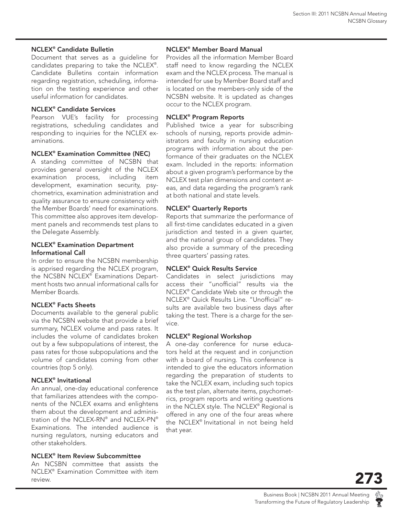### **NCLEX® Candidate Bulletin**

Document that serves as a guideline for candidates preparing to take the NCLEX® . Candidate Bulletins contain information regarding registration, scheduling, information on the testing experience and other useful information for candidates.

### **NCLEX® Candidate Services**

Pearson VUE's facility for processing registrations, scheduling candidates and responding to inquiries for the NCLEX examinations.

### **NCLEX® Examination Committee (NEC)**

A standing committee of NCSBN that provides general oversight of the NCLEX examination process, including item development, examination security, psychometrics, examination administration and quality assurance to ensure consistency with the Member Boards' need for examinations. This committee also approves item development panels and recommends test plans to the Delegate Assembly.

### **NCLEX® Examination Department Informational Call**

In order to ensure the NCSBN membership is apprised regarding the NCLEX program, the NCSBN NCLEX® Examinations Department hosts two annual informational calls for Member Boards.

### **NCLEX® Facts Sheets**

Documents available to the general public via the NCSBN website that provide a brief summary, NCLEX volume and pass rates. It includes the volume of candidates broken out by a few subpopulations of interest, the pass rates for those subpopulations and the volume of candidates coming from other countries (top 5 only).

### **NCLEX® Invitational**

An annual, one-day educational conference that familiarizes attendees with the components of the NCLEX exams and enlightens them about the development and administration of the NCLEX-RN® and NCLEX-PN® Examinations. The intended audience is nursing regulators, nursing educators and other stakeholders.

### **NCLEX® Item Review Subcommittee**

An NCSBN committee that assists the NCLEX® Examination Committee with item review.

### **NCLEX® Member Board Manual**

Provides all the information Member Board staff need to know regarding the NCLEX exam and the NCLEX process. The manual is intended for use by Member Board staff and is located on the members-only side of the NCSBN website. It is updated as changes occur to the NCLEX program.

### **NCLEX® Program Reports**

Published twice a year for subscribing schools of nursing, reports provide administrators and faculty in nursing education programs with information about the performance of their graduates on the NCLEX exam. Included in the reports: information about a given program's performance by the NCLEX test plan dimensions and content areas, and data regarding the program's rank at both national and state levels.

### **NCLEX® Quarterly Reports**

Reports that summarize the performance of all first-time candidates educated in a given jurisdiction and tested in a given quarter, and the national group of candidates. They also provide a summary of the preceding three quarters' passing rates.

### **NCLEX® Quick Results Service**

Candidates in select jurisdictions may access their "unofficial" results via the NCLEX® Candidate Web site or through the NCLEX<sup>®</sup> Quick Results Line. "Unofficial" results are available two business days after taking the test. There is a charge for the service.

### **NCLEX® Regional Workshop**

A one-day conference for nurse educators held at the request and in conjunction with a board of nursing. This conference is intended to give the educators information regarding the preparation of students to take the NCLEX exam, including such topics as the test plan, alternate items, psychometrics, program reports and writing questions in the NCLEX style. The NCLEX® Regional is offered in any one of the four areas where the NCLEX® Invitational in not being held that year.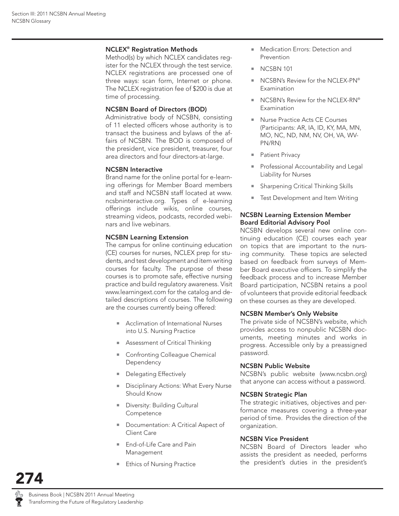### **NCLEX® Registration Methods**

Method(s) by which NCLEX candidates register for the NCLEX through the test service. NCLEX registrations are processed one of three ways: scan form, Internet or phone. The NCLEX registration fee of \$200 is due at time of processing.

### **NCSBN Board of Directors (BOD)**

Administrative body of NCSBN, consisting of 11 elected officers whose authority is to transact the business and bylaws of the affairs of NCSBN. The BOD is composed of the president, vice president, treasurer, four area directors and four directors-at-large.

### **NCSBN Interactive**

Brand name for the online portal for e-learning offerings for Member Board members and staff and NCSBN staff located at www. ncsbninteractive.org. Types of e-learning offerings include wikis, online courses, streaming videos, podcasts, recorded webinars and live webinars.

### **NCSBN Learning Extension**

The campus for online continuing education (CE) courses for nurses, NCLEX prep for students, and test development and item writing courses for faculty. The purpose of these courses is to promote safe, effective nursing practice and build regulatory awareness. Visit www.learningext.com for the catalog and detailed descriptions of courses. The following are the courses currently being offered:

- Acclimation of International Nurses into U.S. Nursing Practice
- **Assessment of Critical Thinking**
- **Confronting Colleague Chemical Dependency**
- Delegating Effectively
- Disciplinary Actions: What Every Nurse Should Know
- Diversity: Building Cultural **Competence**
- Documentation: A Critical Aspect of Client Care
- End-of-Life Care and Pain Management
- Ethics of Nursing Practice
- **Medication Errors: Detection and** Prevention
- NCSBN 101
- NCSBN's Review for the NCLEX-PN® Examination
- NCSBN's Review for the NCLEX-RN® Examination
- Nurse Practice Acts CE Courses (Participants: AR, IA, ID, KY, MA, MN, MO, NC, ND, NM, NV, OH, VA, WV-PN/RN)
- Patient Privacy
- **Professional Accountability and Legal** Liability for Nurses
- **Sharpening Critical Thinking Skills**
- Test Development and Item Writing

### **NCSBN Learning Extension Member Board Editorial Advisory Pool**

NCSBN develops several new online continuing education (CE) courses each year on topics that are important to the nursing community. These topics are selected based on feedback from surveys of Member Board executive officers. To simplify the feedback process and to increase Member Board participation, NCSBN retains a pool of volunteers that provide editorial feedback on these courses as they are developed.

### **NCSBN Member's Only Website**

The private side of NCSBN's website, which provides access to nonpublic NCSBN documents, meeting minutes and works in progress. Accessible only by a preassigned password.

### **NCSBN Public Website**

NCSBN's public website (www.ncsbn.org) that anyone can access without a password.

### **NCSBN Strategic Plan**

The strategic initiatives, objectives and performance measures covering a three-year period of time. Provides the direction of the organization.

#### **NCSBN Vice President**

NCSBN Board of Directors leader who assists the president as needed, performs the president's duties in the president's

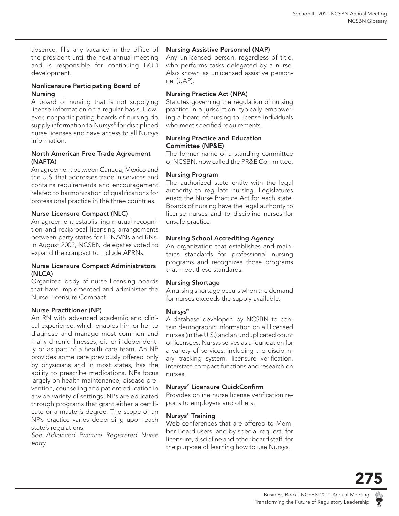absence, fills any vacancy in the office of the president until the next annual meeting and is responsible for continuing BOD development.

### **Nonlicensure Participating Board of Nursing**

A board of nursing that is not supplying license information on a regular basis. However, nonparticipating boards of nursing do supply information to Nur*sys*® for disciplined nurse licenses and have access to all Nur*sys* information.

### **North American Free Trade Agreement (NAFTA)**

An agreement between Canada, Mexico and the U.S. that addresses trade in services and contains requirements and encouragement related to harmonization of qualifications for professional practice in the three countries.

### **Nurse Licensure Compact (NLC)**

An agreement establishing mutual recognition and reciprocal licensing arrangements between party states for LPN/VNs and RNs. In August 2002, NCSBN delegates voted to expand the compact to include APRNs.

### **Nurse Licensure Compact Administrators (NLCA)**

Organized body of nurse licensing boards that have implemented and administer the Nurse Licensure Compact.

### **Nurse Practitioner (NP)**

An RN with advanced academic and clinical experience, which enables him or her to diagnose and manage most common and many chronic illnesses, either independently or as part of a health care team. An NP provides some care previously offered only by physicians and in most states, has the ability to prescribe medications. NPs focus largely on health maintenance, disease prevention, counseling and patient education in a wide variety of settings. NPs are educated through programs that grant either a certificate or a master's degree. The scope of an NP's practice varies depending upon each state's regulations.

*See Advanced Practice Registered Nurse entry.*

### **Nursing Assistive Personnel (NAP)**

Any unlicensed person, regardless of title, who performs tasks delegated by a nurse. Also known as unlicensed assistive personnel (UAP).

### **Nursing Practice Act (NPA)**

Statutes governing the regulation of nursing practice in a jurisdiction, typically empowering a board of nursing to license individuals who meet specified requirements.

### **Nursing Practice and Education Committee (NP&E)**

The former name of a standing committee of NCSBN, now called the PR&E Committee.

### **Nursing Program**

The authorized state entity with the legal authority to regulate nursing. Legislatures enact the Nurse Practice Act for each state. Boards of nursing have the legal authority to license nurses and to discipline nurses for unsafe practice.

### **Nursing School Accrediting Agency**

An organization that establishes and maintains standards for professional nursing programs and recognizes those programs that meet these standards.

### **Nursing Shortage**

A nursing shortage occurs when the demand for nurses exceeds the supply available.

### **Nur***sys***®**

A database developed by NCSBN to contain demographic information on all licensed nurses (in the U.S.) and an unduplicated count of licensees. Nur*sys* serves as a foundation for a variety of services, including the disciplinary tracking system, licensure verification, interstate compact functions and research on nurses.

### **Nursys®** Licensure QuickConfirm

Provides online nurse license verification reports to employers and others.

### **Nur***sys***® Training**

Web conferences that are offered to Member Board users, and by special request, for licensure, discipline and other board staff, for the purpose of learning how to use Nur*sys*.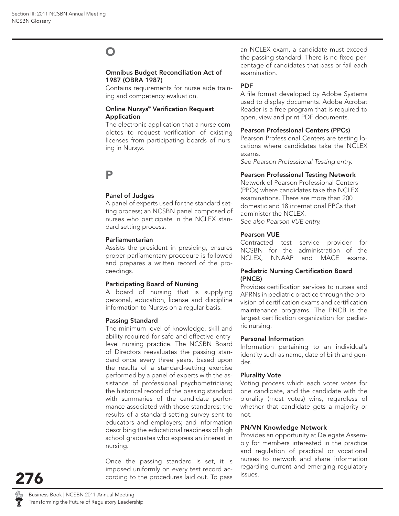# **O**

### **Omnibus Budget Reconciliation Act of 1987 (OBRA 1987)**

Contains requirements for nurse aide training and competency evaluation.

### **Online Nur***sys***® Verifi cation Request Application**

The electronic application that a nurse completes to request verification of existing licenses from participating boards of nursing in Nur*sys*.

# **P**

### **Panel of Judges**

A panel of experts used for the standard setting process; an NCSBN panel composed of nurses who participate in the NCLEX standard setting process.

### **Parliamentarian**

Assists the president in presiding, ensures proper parliamentary procedure is followed and prepares a written record of the proceedings.

### **Participating Board of Nursing**

A board of nursing that is supplying personal, education, license and discipline information to Nur*sys* on a regular basis.

### **Passing Standard**

The minimum level of knowledge, skill and ability required for safe and effective entrylevel nursing practice. The NCSBN Board of Directors reevaluates the passing standard once every three years, based upon the results of a standard-setting exercise performed by a panel of experts with the assistance of professional psychometricians; the historical record of the passing standard with summaries of the candidate performance associated with those standards; the results of a standard-setting survey sent to educators and employers; and information describing the educational readiness of high school graduates who express an interest in nursing.

Once the passing standard is set, it is imposed uniformly on every test record according to the procedures laid out. To pass

an NCLEX exam, a candidate must exceed the passing standard. There is no fixed percentage of candidates that pass or fail each examination.

### **PDF**

A file format developed by Adobe Systems used to display documents. Adobe Acrobat Reader is a free program that is required to open, view and print PDF documents.

### **Pearson Professional Centers (PPCs)**

Pearson Professional Centers are testing locations where candidates take the NCLEX exams.

*See Pearson Professional Testing entry.*

### **Pearson Professional Testing Network**

Network of Pearson Professional Centers (PPCs) where candidates take the NCLEX examinations. There are more than 200 domestic and 18 international PPCs that administer the NCLEX. *See also Pearson VUE entry.*

#### **Pearson VUE**

Contracted test service provider for NCSBN for the administration of the NCLEX, NNAAP and MACE exams.

### **Pediatric Nursing Certification Board (PNCB)**

Provides certification services to nurses and APRNs in pediatric practice through the provision of certification exams and certification maintenance programs. The PNCB is the largest certification organization for pediatric nursing.

### **Personal Information**

Information pertaining to an individual's identity such as name, date of birth and gender.

### **Plurality Vote**

Voting process which each voter votes for one candidate, and the candidate with the plurality (most votes) wins, regardless of whether that candidate gets a majority or not.

### **PN/VN Knowledge Network**

Provides an opportunity at Delegate Assembly for members interested in the practice and regulation of practical or vocational nurses to network and share information regarding current and emerging regulatory issues.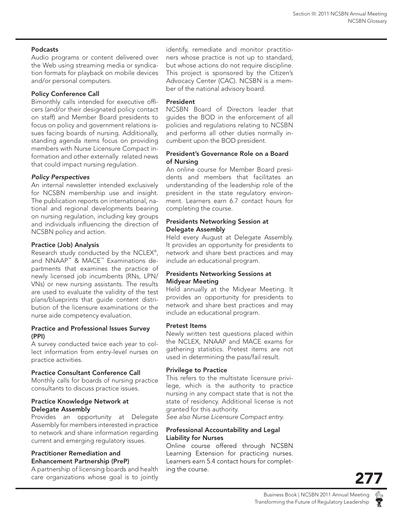### **Podcasts**

Audio programs or content delivered over the Web using streaming media or syndication formats for playback on mobile devices and/or personal computers.

### **Policy Conference Call**

Bimonthly calls intended for executive officers (and/or their designated policy contact on staff) and Member Board presidents to focus on policy and government relations issues facing boards of nursing. Additionally, standing agenda items focus on providing members with Nurse Licensure Compact information and other externally related news that could impact nursing regulation.

### *Policy Perspectives*

An internal newsletter intended exclusively for NCSBN membership use and insight. The publication reports on international, national and regional developments bearing on nursing regulation, including key groups and individuals influencing the direction of NCSBN policy and action.

### **Practice (Job) Analysis**

Research study conducted by the NCLEX® , and NNAAP™ & MACE™ Examinations departments that examines the practice of newly licensed job incumbents (RNs, LPN/ VNs) or new nursing assistants. The results are used to evaluate the validity of the test plans/blueprints that guide content distribution of the licensure examinations or the nurse aide competency evaluation.

### **Practice and Professional Issues Survey (PPI)**

A survey conducted twice each year to collect information from entry-level nurses on practice activities.

### **Practice Consultant Conference Call**

Monthly calls for boards of nursing practice consultants to discuss practice issues.

### **Practice Knowledge Network at Delegate Assembly**

Provides an opportunity at Delegate Assembly for members interested in practice to network and share information regarding current and emerging regulatory issues.

### **Practitioner Remediation and Enhancement Partnership (PreP)**

A partnership of licensing boards and health care organizations whose goal is to jointly

identify, remediate and monitor practitioners whose practice is not up to standard, but whose actions do not require discipline. This project is sponsored by the Citizen's Advocacy Center (CAC). NCSBN is a member of the national advisory board.

### **President**

NCSBN Board of Directors leader that guides the BOD in the enforcement of all policies and regulations relating to NCSBN and performs all other duties normally incumbent upon the BOD president.

### **President's Governance Role on a Board of Nursing**

An online course for Member Board presidents and members that facilitates an understanding of the leadership role of the president in the state regulatory environment. Learners earn 6.7 contact hours for completing the course.

### **Presidents Networking Session at Delegate Assembly**

Held every August at Delegate Assembly. It provides an opportunity for presidents to network and share best practices and may include an educational program.

### **Presidents Networking Sessions at Midyear Meeting**

Held annually at the Midyear Meeting. It provides an opportunity for presidents to network and share best practices and may include an educational program.

### **Pretest Items**

Newly written test questions placed within the NCLEX, NNAAP and MACE exams for gathering statistics. Pretest items are not used in determining the pass/fail result.

### **Privilege to Practice**

This refers to the multistate licensure privilege, which is the authority to practice nursing in any compact state that is not the state of residency. Additional license is not granted for this authority.

*See also Nurse Licensure Compact entry.*

### **Professional Accountability and Legal Liability for Nurses**

Online course offered through NCSBN Learning Extension for practicing nurses. Learners earn 5.4 contact hours for completing the course.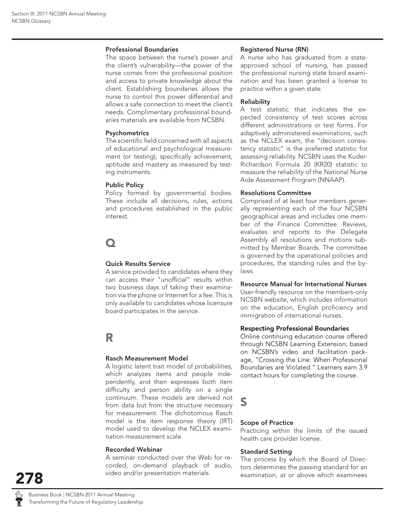### **Professional Boundaries**

The space between the nurse's power and the client's vulnerability—the power of the nurse comes from the professional position and access to private knowledge about the client. Establishing boundaries allows the nurse to control this power differential and allows a safe connection to meet the client's needs. Complimentary professional boundaries materials are available from NCSBN.

### **Psychometrics**

The scientific field concerned with all aspects of educational and psychological measurement (or testing), specifically achievement, aptitude and mastery as measured by testing instruments.

### **Public Policy**

Policy formed by governmental bodies. These include all decisions, rules, actions and procedures established in the public interest.

## **Q**

### **Quick Results Service**

A service provided to candidates where they can access their "unofficial" results within two business days of taking their examination via the phone or Internet for a fee. This is only available to candidates whose licensure board participates in the service.

## **R**

### **Rasch Measurement Model**

A logistic latent trait model of probabilities, which analyzes items and people independently, and then expresses both item difficulty and person ability on a single continuum. These models are derived not from data but from the structure necessary for measurement. The dichotomous Rasch model is the item response theory (IRT) model used to develop the NCLEX examination measurement scale.

### **Recorded Webinar**

A seminar conducted over the Web for recorded, on-demand playback of audio, video and/or presentation materials.

### **Registered Nurse (RN)**

A nurse who has graduated from a stateapproved school of nursing, has passed the professional nursing state board examination and has been granted a license to practice within a given state.

### **Reliability**

A test statistic that indicates the expected consistency of test scores across different administrations or test forms. For adaptively administered examinations, such as the NCLEX exam, the "decision consistency statistic" is the preferred statistic for assessing reliability. NCSBN uses the Kuder-Richardson Formula 20 (KR20) statistic to measure the reliability of the National Nurse Aide Assessment Program (NNAAP).

### **Resolutions Committee**

Comprised of at least four members generally representing each of the four NCSBN geographical areas and includes one member of the Finance Committee. Reviews, evaluates and reports to the Delegate Assembly all resolutions and motions submitted by Member Boards. The committee is governed by the operational policies and procedures, the standing rules and the bylaws.

### **Resource Manual for International Nurses**

User-friendly resource on the members-only NCSBN website, which includes information on the education, English proficiency and immigration of international nurses.

### **Respecting Professional Boundaries**

Online continuing education course offered through NCSBN Learning Extension; based on NCSBN's video and facilitation package, "Crossing the Line: When Professional Boundaries are Violated." Learners earn 3.9 contact hours for completing the course.

### **S**

### **Scope of Practice**

Practicing within the limits of the issued health care provider license.

### **Standard Setting**

The process by which the Board of Directors determines the passing standard for an examination, at or above which examinees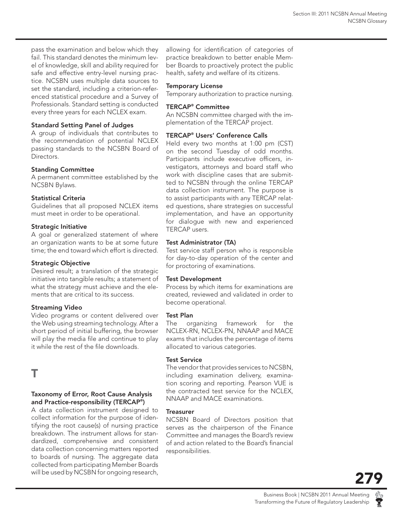pass the examination and below which they fail. This standard denotes the minimum level of knowledge, skill and ability required for safe and effective entry-level nursing practice. NCSBN uses multiple data sources to set the standard, including a criterion-referenced statistical procedure and a Survey of Professionals. Standard setting is conducted every three years for each NCLEX exam.

### **Standard Setting Panel of Judges**

A group of individuals that contributes to the recommendation of potential NCLEX passing standards to the NCSBN Board of Directors.

### **Standing Committee**

A permanent committee established by the NCSBN Bylaws.

### **Statistical Criteria**

Guidelines that all proposed NCLEX items must meet in order to be operational.

### **Strategic Initiative**

A goal or generalized statement of where an organization wants to be at some future time; the end toward which effort is directed.

### **Strategic Objective**

Desired result; a translation of the strategic initiative into tangible results; a statement of what the strategy must achieve and the elements that are critical to its success.

### **Streaming Video**

Video programs or content delivered over the Web using streaming technology. After a short period of initial buffering, the browser will play the media file and continue to play it while the rest of the file downloads.

## **T**

### **Taxonomy of Error, Root Cause Analysis and Practice-responsibility (TERCAP® )**

A data collection instrument designed to collect information for the purpose of identifying the root cause(s) of nursing practice breakdown. The instrument allows for standardized, comprehensive and consistent data collection concerning matters reported to boards of nursing. The aggregate data collected from participating Member Boards will be used by NCSBN for ongoing research,

allowing for identification of categories of practice breakdown to better enable Member Boards to proactively protect the public health, safety and welfare of its citizens.

### **Temporary License**

Temporary authorization to practice nursing.

### **TERCAP® Committee**

An NCSBN committee charged with the implementation of the TERCAP project.

### **TERCAP® Users' Conference Calls**

Held every two months at 1:00 pm (CST) on the second Tuesday of odd months. Participants include executive officers, investigators, attorneys and board staff who work with discipline cases that are submitted to NCSBN through the online TERCAP data collection instrument. The purpose is to assist participants with any TERCAP related questions, share strategies on successful implementation, and have an opportunity for dialogue with new and experienced TERCAP users.

### **Test Administrator (TA)**

Test service staff person who is responsible for day-to-day operation of the center and for proctoring of examinations.

### **Test Development**

Process by which items for examinations are created, reviewed and validated in order to become operational.

### **Test Plan**

The organizing framework for the NCLEX-RN, NCLEX-PN, NNAAP and MACE exams that includes the percentage of items allocated to various categories.

### **Test Service**

The vendor that provides services to NCSBN, including examination delivery, examination scoring and reporting. Pearson VUE is the contracted test service for the NCLEX, NNAAP and MACE examinations.

### **Treasurer**

NCSBN Board of Directors position that serves as the chairperson of the Finance Committee and manages the Board's review of and action related to the Board's financial responsibilities.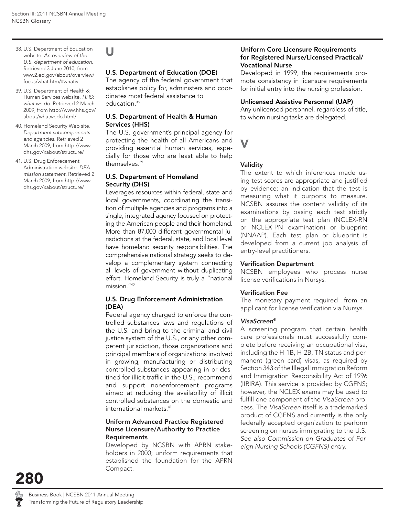- 38. U.S. Department of Education website. *An overview of the U.S. department of education.* Retrieved 3 June 2010, from www2.ed.gov/about/overview/ focus/what.htm/#whatis
- 39. U.S. Department of Health & Human Services website. *HHS: what we do.* Retrieved 2 March 2009, from http://www.hhs.gov/ about/whatwedo.html/
- 40. Homeland Security Web site. *Department subcomponents and agencies.* Retrieved 2 March 2009, from http://www. dhs.gov/xabout/structure/
- 41. U.S. Drug Enforecement Administration website. *DEA mission statement.* Retrieved 2 March 2009, from http://www. dhs.gov/xabout/structure/

### **U.S. Department of Education (DOE)**

**U**

The agency of the federal government that establishes policy for, administers and coordinates most federal assistance to education.<sup>38</sup>

### **U.S. Department of Health & Human Services (HHS)**

The U.S. government's principal agency for protecting the health of all Americans and providing essential human services, especially for those who are least able to help themselves<sup>39</sup>

### **U.S. Department of Homeland Security (DHS)**

Leverages resources within federal, state and local governments, coordinating the transition of multiple agencies and programs into a single, integrated agency focused on protecting the American people and their homeland. More than 87,000 different governmental jurisdictions at the federal, state, and local level have homeland security responsibilities. The comprehensive national strategy seeks to develop a complementary system connecting all levels of government without duplicating effort. Homeland Security is truly a "national mission."40

### **U.S. Drug Enforcement Administration (DEA)**

Federal agency charged to enforce the controlled substances laws and regulations of the U.S. and bring to the criminal and civil justice system of the U.S., or any other competent jurisdiction, those organizations and principal members of organizations involved in growing, manufacturing or distributing controlled substances appearing in or destined for illicit traffic in the U.S.; recommend and support nonenforcement programs aimed at reducing the availability of illicit controlled substances on the domestic and international markets.<sup>41</sup>

### **Uniform Advanced Practice Registered Nurse Licensure/Authority to Practice Requirements**

Developed by NCSBN with APRN stakeholders in 2000; uniform requirements that established the foundation for the APRN Compact.

### **Uniform Core Licensure Requirements for Registered Nurse/Licensed Practical/ Vocational Nurse**

Developed in 1999, the requirements promote consistency in licensure requirements for initial entry into the nursing profession.

### **Unlicensed Assistive Personnel (UAP)**

Any unlicensed personnel, regardless of title, to whom nursing tasks are delegated.



### **Validity**

The extent to which inferences made using test scores are appropriate and justified by evidence; an indication that the test is measuring what it purports to measure. NCSBN assures the content validity of its examinations by basing each test strictly on the appropriate test plan (NCLEX-RN or NCLEX-PN examination) or blueprint (NNAAP). Each test plan or blueprint is developed from a current job analysis of entry-level practitioners.

### **Verification Department**

NCSBN employees who process nurse license verifi cations in Nur*sys*.

### **Verification Fee**

The monetary payment required from an applicant for license verification via Nursys.

### *VisaScreen***®**

A screening program that certain health care professionals must successfully complete before receiving an occupational visa, including the H-1B, H-2B, TN status and permanent (green card) visas, as required by Section 343 of the Illegal Immigration Reform and Immigration Responsibility Act of 1996 (IIRIRA). This service is provided by CGFNS; however, the NCLEX exams may be used to fulfill one component of the VisaScreen process. The *VisaScreen* itself is a trademarked product of CGFNS and currently is the only federally accepted organization to perform screening on nurses immigrating to the U.S. *See also Commission on Graduates of Foreign Nursing Schools (CGFNS) entry.*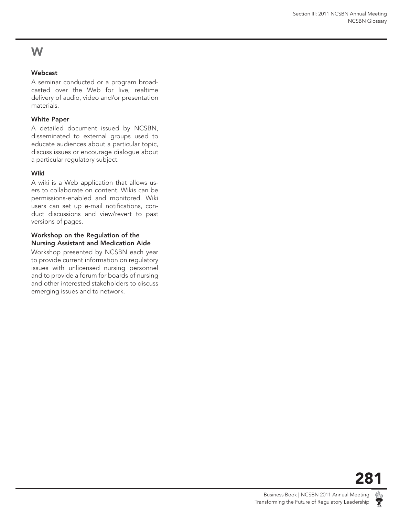## **W**

### **Webcast**

A seminar conducted or a program broadcasted over the Web for live, realtime delivery of audio, video and/or presentation materials.

### **White Paper**

A detailed document issued by NCSBN, disseminated to external groups used to educate audiences about a particular topic, discuss issues or encourage dialogue about a particular regulatory subject.

### **Wiki**

A wiki is a Web application that allows users to collaborate on content. Wikis can be permissions-enabled and monitored. Wiki users can set up e-mail notifications, conduct discussions and view/revert to past versions of pages.

### **Workshop on the Regulation of the Nursing Assistant and Medication Aide**

Workshop presented by NCSBN each year to provide current information on regulatory issues with unlicensed nursing personnel and to provide a forum for boards of nursing and other interested stakeholders to discuss emerging issues and to network.

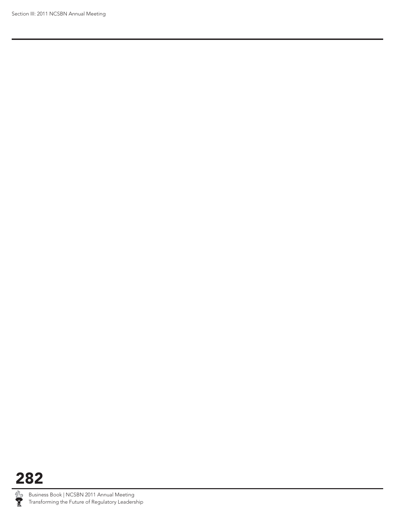$\mathbf{R}$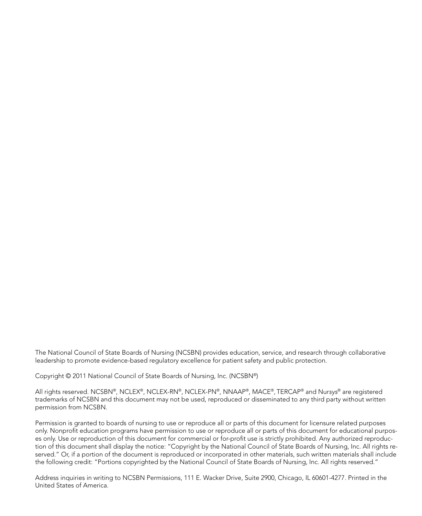The National Council of State Boards of Nursing (NCSBN) provides education, service, and research through collaborative leadership to promote evidence-based regulatory excellence for patient safety and public protection.

Copyright © 2011 National Council of State Boards of Nursing, Inc. (NCSBN®)

All rights reserved. NCSBN®, NCLEX®, NCLEX-RN®, NCLEX-PN®, NNAAP®, MACE®, TERCAP® and Nur*sys*® are registered trademarks of NCSBN and this document may not be used, reproduced or disseminated to any third party without written permission from NCSBN.

Permission is granted to boards of nursing to use or reproduce all or parts of this document for licensure related purposes only. Nonprofit education programs have permission to use or reproduce all or parts of this document for educational purposes only. Use or reproduction of this document for commercial or for-profit use is strictly prohibited. Any authorized reproduction of this document shall display the notice: "Copyright by the National Council of State Boards of Nursing, Inc. All rights reserved." Or, if a portion of the document is reproduced or incorporated in other materials, such written materials shall include the following credit: "Portions copyrighted by the National Council of State Boards of Nursing, Inc. All rights reserved."

Address inquiries in writing to NCSBN Permissions, 111 E. Wacker Drive, Suite 2900, Chicago, IL 60601-4277. Printed in the United States of America.